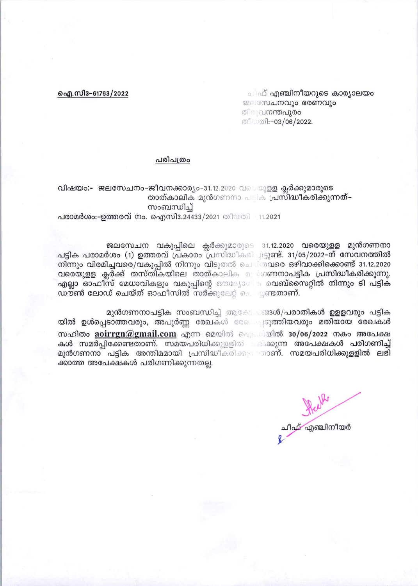## ഐ.സി3-61763/2022

ചിഫ് എഞ്ചിനീയറുടെ കാര്യാലയ<u>ം</u> ജലസേചനവും ഭരണവും തിരുവ**നന്തപുരം** തീയതി:-03/06/2022.

## പരിപത്രം

## വിഷയം:- ജലസേചനം-ജീവനക്കാര്യം-31.12.2020 വയുെളള ക്ലർക്കുമാരുടെ താത്കാലിക മുൻഗണനാ പട്ടിക പ്രസ്ദിദ്ധീകരിക്കുന്നത്-സംബന്ധിച്

## പരാമർശം:-ഉത്തരവ് നം. ഐസി3.24433/2021 തീയതി 11.2021

ജലസേചന വകുപ്പിലെ ക്ലർക്കുമാരുടെ 31.12.2020 വരെയുളള മുൻഗണനാ പട്ടിക പരാമർശം (1) ഉത്തരവ് പ്രകാരം പ്രസിദ്ധീകരി ചിട്ടുണ്ട്. 31/05/2022-ന് സേവനത്തിൽ നിന്നും വിരമിച്ചവരെ/വകുപ്പിൽ നിന്നും വിടുതൽ ചെയ്തവരെ ഒഴിവാക്കിക്കൊണ്ട് 31.12.2020 വരെയുളള ക്ലർക്ക് തസ്തികയിലെ താത്കാലിക മുര്ഗണനാപട്ടിക പ്രസിദ്ധീകരിക്കുന്നു. എല്ലാ ഓഫീസ് മേധാവികളും വകുപ്പിന്റെ ഔദ്യോഗി പെബ്സൈറ്റിൽ നിന്നും ടി പട്ടിക ഡൗൺ ലോഡ് ചെയ്ത് ഓഫീസിൽ സർക്കുലേറ്റ് ചെയ്യണ്ടതാണ്.

മുൻഗണനാപട്ടിക സംബന്ധിച്ച് ആകേ ഒങ്ങൾ/പരാതികൾ ഉളളവരും പട്ടിക യിൽ ഉൾപ്പെടാത്തവരും, അപൂർണ്ണ രേഖകൾ രേഖക്വടുത്തിയവരും മതിയായ രേഖകൾ സഹിതം  $\arcsin(a)$ gmail.com എന്ന മെയിൽ ഐഡിയിൽ 30/06/2022 നകം അപേക്ഷ കൾ സമർപ്പിക്കേണ്ടതാണ്. സമയപരിധിക്കുളളിൽ ലിക്കുന്ന അപേക്ഷകൾ പരിഗണിച്ച് മുൻഗണനാ പട്ടിക അന്തിമമായി പ്രസിദ്ധീകരിക്കുന്നാണ്. സമയപരിധിക്കുള്ളിൽ ലഭി ക്കാത്ത അപേക്ഷകൾ പരിഗണിക്കുന്നതല്ല.

ചീഫ് എഞ്ചിനീയർ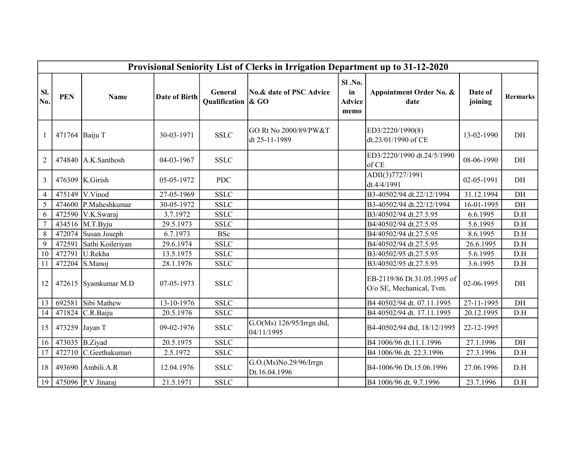|                | Provisional Seniority List of Clerks in Irrigation Department up to 31-12-2020 |                        |                         |                                  |                                         |                                       |                                                         |                    |                 |  |  |  |  |
|----------------|--------------------------------------------------------------------------------|------------------------|-------------------------|----------------------------------|-----------------------------------------|---------------------------------------|---------------------------------------------------------|--------------------|-----------------|--|--|--|--|
| SI.<br>No.     | <b>PEN</b>                                                                     | Name                   | <b>Date of Birth</b>    | General<br>Qualification $\&$ GO | No.& date of PSC Advice                 | Sl.No.<br>in<br><b>Advice</b><br>memo | Appointment Order No. &<br>date                         | Date of<br>joining | <b>Rermarks</b> |  |  |  |  |
| $\mathbf{1}$   | 471764                                                                         | Baiju T                | 30-03-1971              | <b>SSLC</b>                      | GO Rt No 2000/89/PW&T<br>dt 25-11-1989  |                                       | ED3/2220/1990(8)<br>dt.23/01/1990 of CE                 | 13-02-1990         | DH              |  |  |  |  |
| $\overline{2}$ |                                                                                | $474840$ A.K. Santhosh | 04-03-1967              | <b>SSLC</b>                      |                                         |                                       | ED3/2220/1990 dt.24/5/1990<br>of CE                     | 08-06-1990         | DH              |  |  |  |  |
| 3              |                                                                                | 476309 $K.Girish$      | 05-05-1972              | <b>PDC</b>                       |                                         |                                       | ADII(3)7727/1991<br>dt.4/4/1991                         | 02-05-1991         | DH              |  |  |  |  |
| $\overline{4}$ | 475149                                                                         | V.Vinod                | $\overline{27-05-1969}$ | <b>SSLC</b>                      |                                         |                                       | B3-40502/94 dt.22/12/1994                               | 31.12.1994         | DH              |  |  |  |  |
| 5              | 474600                                                                         | P.Maheshkumar          | 30-05-1972              | <b>SSLC</b>                      |                                         |                                       | B3-40502/94 dt.22/12/1994                               | 16-01-1995         | DH              |  |  |  |  |
| 6              |                                                                                | 472590 V.K.Swaraj      | 3.7.1972                | <b>SSLC</b>                      |                                         |                                       | B3/40502/94 dt.27.5.95                                  | 6.6.1995           | D.H             |  |  |  |  |
| $\overline{7}$ |                                                                                | 434516 M.T.Byju        | 29.5.1973               | <b>SSLC</b>                      |                                         |                                       | B4/40502/94 dt.27.5.95                                  | 5.6.1995           | D.H             |  |  |  |  |
| $\overline{8}$ | 472074                                                                         | Susan Joseph           | 6.7.1973                | <b>BSc</b>                       |                                         |                                       | B4/40502/94 dt.27.5.95                                  | 8.6.1995           | D.H             |  |  |  |  |
| 9              | 472591                                                                         | Sathi Koileriyan       | 29.6.1974               | <b>SSLC</b>                      |                                         |                                       | B4/40502/94 dt.27.5.95                                  | 26.6.1995          | D.H             |  |  |  |  |
| 10             | 472791                                                                         | U.Rekha                | 13.5.1975               | <b>SSLC</b>                      |                                         |                                       | B3/40502/95 dt.27.5.95                                  | 5.6.1995           | D.H             |  |  |  |  |
| 11             | 472204                                                                         | S.Manoj                | 28.1.1976               | <b>SSLC</b>                      |                                         |                                       | B3/40502/95 dt.27.5.95                                  | 3.6.1995           | D.H             |  |  |  |  |
| 12             | 472615                                                                         | Syamkumar M.D          | 07-05-1973              | <b>SSLC</b>                      |                                         |                                       | EB-2119/86 Dt.31.05.1995 of<br>O/o SE, Mechanical, Tvm. | 02-06-1995         | DH              |  |  |  |  |
| 13             | 692581                                                                         | Sibi Mathew            | 13-10-1976              | <b>SSLC</b>                      |                                         |                                       | B4 40502/94 dt. 07.11.1995                              | 27-11-1995         | DH              |  |  |  |  |
| 14             | 471824                                                                         | C.R.Baiju              | 20.5.1976               | <b>SSLC</b>                      |                                         |                                       | B4 40502/94 dt. 17.11.1995                              | 20.12.1995         | D.H             |  |  |  |  |
| 15             | 473259 Jayan T                                                                 |                        | 09-02-1976              | <b>SSLC</b>                      | G.O(Ms) 126/95/Irrgn dtd,<br>04/11/1995 |                                       | B4-40502/94 dtd, 18/12/1995                             | 22-12-1995         |                 |  |  |  |  |
| 16             | 473035 $B.Ziyad$                                                               |                        | 20.5.1975               | <b>SSLC</b>                      |                                         |                                       | B4 1006/96 dt.11.1.1996                                 | 27.1.1996          | DH              |  |  |  |  |
| 17             | 472710                                                                         | C.Geethakumari         | 2.5.1972                | <b>SSLC</b>                      |                                         |                                       | B4 1006/96 dt. 22.3.1996                                | 27.3.1996          | D.H             |  |  |  |  |
| 18             |                                                                                | 493690 Ambili.A.R      | 12.04.1976              | <b>SSLC</b>                      | G.O.(Ms)No.29/96/Irrgn<br>Dt.16.04.1996 |                                       | B4-1006/96 Dt.15.06.1996                                | 27.06.1996         | D.H             |  |  |  |  |
| 19             |                                                                                | 475096 P.V Jinaraj     | 21.5.1971               | <b>SSLC</b>                      |                                         |                                       | B4 1006/96 dt. 9.7.1996                                 | 23.7.1996          | D.H             |  |  |  |  |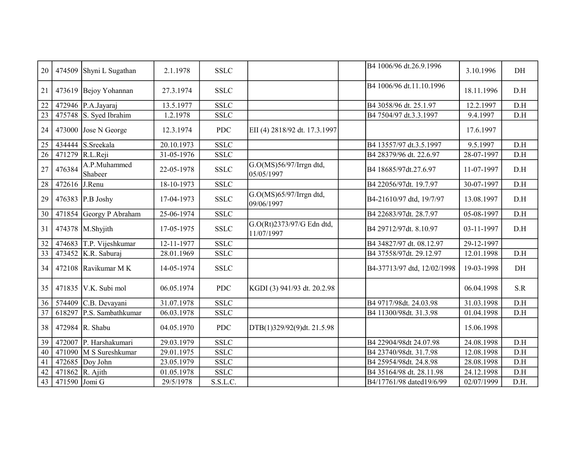| 20              |               | 474509 Shyni L Sugathan        | 2.1.1978   | <b>SSLC</b>           |                                         | B4 1006/96 dt.26.9.1996     | 3.10.1996  | DH   |
|-----------------|---------------|--------------------------------|------------|-----------------------|-----------------------------------------|-----------------------------|------------|------|
| 21              |               | 473619 Bejoy Yohannan          | 27.3.1974  | <b>SSLC</b>           |                                         | B4 1006/96 dt.11.10.1996    | 18.11.1996 | D.H  |
| 22              |               | 472946 P.A.Jayaraj             | 13.5.1977  | <b>SSLC</b>           |                                         | B4 3058/96 dt. 25.1.97      | 12.2.1997  | D.H  |
| $\overline{23}$ |               | 475748 $\vert$ S. Syed Ibrahim | 1.2.1978   | <b>SSLC</b>           |                                         | B4 7504/97 dt.3.3.1997      | 9.4.1997   | D.H  |
| 24              |               | 473000 Jose N George           | 12.3.1974  | <b>PDC</b>            | EII (4) 2818/92 dt. 17.3.1997           |                             | 17.6.1997  |      |
| 25              |               | 434444 S.Sreekala              | 20.10.1973 | <b>SSLC</b>           |                                         | B4 13557/97 dt.3.5.1997     | 9.5.1997   | D.H  |
| $\overline{26}$ |               | 471279 R.L.Reji                | 31-05-1976 | <b>SSLC</b>           |                                         | B4 28379/96 dt. 22.6.97     | 28-07-1997 | D.H  |
| 27              | 476384        | A.P.Muhammed<br>Shabeer        | 22-05-1978 | <b>SSLC</b>           | G.O(MS)56/97/Irrgn dtd,<br>05/05/1997   | B4 18685/97dt.27.6.97       | 11-07-1997 | D.H  |
| 28              | 472616        | J.Renu                         | 18-10-1973 | <b>SSLC</b>           |                                         | B4 22056/97dt. 19.7.97      | 30-07-1997 | D.H  |
| 29              |               | 476383 P.B Joshy               | 17-04-1973 | <b>SSLC</b>           | G.O(MS)65/97/Irrgn dtd,<br>09/06/1997   | B4-21610/97 dtd, 19/7/97    | 13.08.1997 | D.H  |
| 30              |               | 471854 Georgy P Abraham        | 25-06-1974 | <b>SSLC</b>           |                                         | B4 22683/97dt. 28.7.97      | 05-08-1997 | D.H  |
| 31              |               | 474378 M.Shyjith               | 17-05-1975 | <b>SSLC</b>           | G.O(Rt)2373/97/G Edn dtd,<br>11/07/1997 | B4 29712/97dt. 8.10.97      | 03-11-1997 | D.H  |
| 32              | 474683        | T.P. Vijeshkumar               | 12-11-1977 | <b>SSLC</b>           |                                         | B4 34827/97 dt. 08.12.97    | 29-12-1997 |      |
| $\overline{33}$ |               | 473452 K.R. Saburaj            | 28.01.1969 | <b>SSLC</b>           |                                         | B4 37558/97dt. 29.12.97     | 12.01.1998 | D.H  |
| 34              |               | 472108 Ravikumar M K           | 14-05-1974 | <b>SSLC</b>           |                                         | B4-37713/97 dtd, 12/02/1998 | 19-03-1998 | DH   |
| 35              |               | 471835 V.K. Subi mol           | 06.05.1974 | <b>PDC</b>            | KGDI (3) 941/93 dt. 20.2.98             |                             | 06.04.1998 | S.R  |
| 36              |               | 574409 C.B. Devayani           | 31.07.1978 | <b>SSLC</b>           |                                         | B4 9717/98dt. 24.03.98      | 31.03.1998 | D.H  |
| 37              | 618297        | P.S. Sambathkumar              | 06.03.1978 | <b>SSLC</b>           |                                         | B4 11300/98dt. 31.3.98      | 01.04.1998 | D.H  |
| 38              |               | 472984 R. Shabu                | 04.05.1970 | <b>PDC</b>            | DTB(1)329/92(9)dt. 21.5.98              |                             | 15.06.1998 |      |
| 39              |               | 472007 P. Harshakumari         | 29.03.1979 | <b>SSLC</b>           |                                         | B4 22904/98dt 24.07.98      | 24.08.1998 | D.H  |
| 40              |               | 471090 M S Sureshkumar         | 29.01.1975 | <b>SSLC</b>           |                                         | B4 23740/98dt. 31.7.98      | 12.08.1998 | D.H  |
| 41              |               | $472685$ Doy John              | 23.05.1979 | <b>SSLC</b>           |                                         | B4 25954/98dt. 24.8.98      | 28.08.1998 | D.H  |
| 42              |               | 471862 R. Ajith                | 01.05.1978 | $\operatorname{SSLC}$ |                                         | B4 35164/98 dt. 28.11.98    | 24.12.1998 | D.H  |
| 43              | 471590 Jomi G |                                | 29/5/1978  | S.S.L.C.              |                                         | B4/17761/98 dated19/6/99    | 02/07/1999 | D.H. |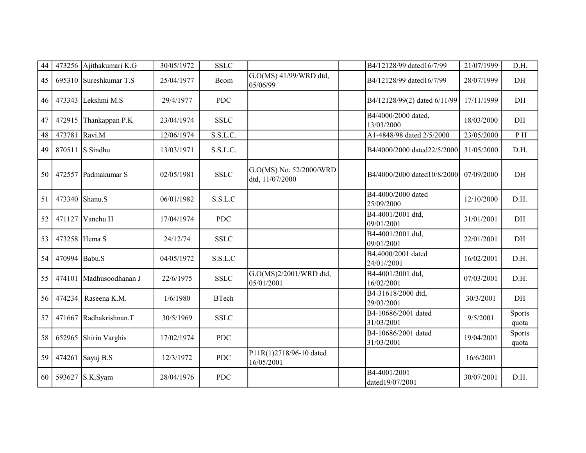| 44 | 473256        | Ajithakumari K.G        | 30/05/1972 | <b>SSLC</b>  |                                            | B4/12128/99 dated16/7/99          | 21/07/1999 | D.H.            |
|----|---------------|-------------------------|------------|--------------|--------------------------------------------|-----------------------------------|------------|-----------------|
| 45 |               | 695310 Sureshkumar T.S  | 25/04/1977 | Bcom         | G.O(MS) 41/99/WRD dtd,<br>05/06/99         | B4/12128/99 dated16/7/99          | 28/07/1999 | DH              |
| 46 |               | 473343 Lekshmi M.S      | 29/4/1977  | <b>PDC</b>   |                                            | B4/12128/99(2) dated 6/11/99      | 17/11/1999 | DH              |
| 47 | 472915        | Thankappan P.K          | 23/04/1974 | <b>SSLC</b>  |                                            | B4/4000/2000 dated,<br>13/03/2000 | 18/03/2000 | DH              |
| 48 | 473781        | Ravi.M                  | 12/06/1974 | S.S.L.C.     |                                            | A1-4848/98 dated 2/5/2000         | 23/05/2000 | P H             |
| 49 | 870511        | S.Sindhu                | 13/03/1971 | S.S.L.C.     |                                            | B4/4000/2000 dated22/5/2000       | 31/05/2000 | D.H.            |
| 50 | 472557        | Padmakumar S            | 02/05/1981 | <b>SSLC</b>  | G.O(MS) No. 52/2000/WRD<br>dtd, 11/07/2000 | B4/4000/2000 dated10/8/2000       | 07/09/2000 | DH              |
| 51 |               | 473340 Shanu.S          | 06/01/1982 | S.S.L.C      |                                            | B4-4000/2000 dated<br>25/09/2000  | 12/10/2000 | D.H.            |
| 52 | 471127        | Vanchu H                | 17/04/1974 | <b>PDC</b>   |                                            | B4-4001/2001 dtd,<br>09/01/2001   | 31/01/2001 | DH              |
| 53 | 473258 Hema S |                         | 24/12/74   | <b>SSLC</b>  |                                            | B4-4001/2001 dtd,<br>09/01/2001   | 22/01/2001 | DH              |
| 54 | 470994 Babu.S |                         | 04/05/1972 | S.S.L.C      |                                            | B4.4000/2001 dated<br>24/01//2001 | 16/02/2001 | D.H.            |
| 55 |               | 474101 Madhusoodhanan J | 22/6/1975  | <b>SSLC</b>  | G.O(MS)2/2001/WRD dtd,<br>05/01/2001       | B4-4001/2001 dtd,<br>16/02/2001   | 07/03/2001 | D.H.            |
| 56 | 474234        | Raseena K.M.            | 1/6/1980   | <b>BTech</b> |                                            | B4-31618/2000 dtd,<br>29/03/2001  | 30/3/2001  | DH              |
| 57 |               | 471667 Radhakrishnan.T  | 30/5/1969  | <b>SSLC</b>  |                                            | B4-10686/2001 dated<br>31/03/2001 | 9/5/2001   | Sports<br>quota |
| 58 | 652965        | Shirin Varghis          | 17/02/1974 | <b>PDC</b>   |                                            | B4-10686/2001 dated<br>31/03/2001 | 19/04/2001 | Sports<br>quota |
| 59 |               | 474261 Sayuj B.S        | 12/3/1972  | <b>PDC</b>   | P11R(1)2718/96-10 dated<br>16/05/2001      |                                   | 16/6/2001  |                 |
| 60 |               | 593627 S.K.Syam         | 28/04/1976 | <b>PDC</b>   |                                            | B4-4001/2001<br>dated19/07/2001   | 30/07/2001 | D.H.            |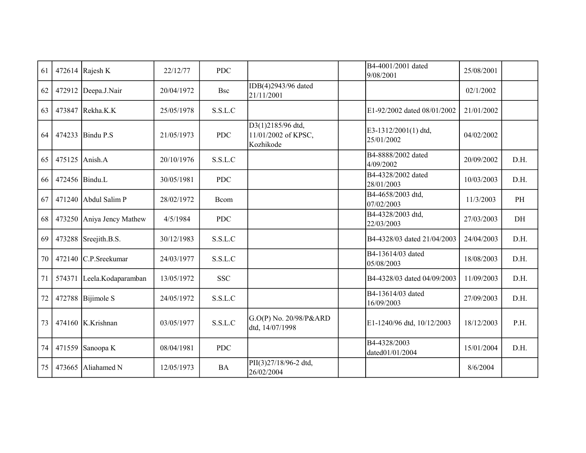| 61 |        | 472614 Rajesh K        | 22/12/77   | <b>PDC</b> |                                                       | B4-4001/2001 dated<br>9/08/2001    | 25/08/2001 |           |
|----|--------|------------------------|------------|------------|-------------------------------------------------------|------------------------------------|------------|-----------|
| 62 |        | 472912 Deepa.J.Nair    | 20/04/1972 | <b>Bsc</b> | IDB(4)2943/96 dated<br>21/11/2001                     |                                    | 02/1/2002  |           |
| 63 |        | 473847 Rekha.K.K       | 25/05/1978 | S.S.L.C    |                                                       | E1-92/2002 dated 08/01/2002        | 21/01/2002 |           |
| 64 |        | 474233 Bindu P.S       | 21/05/1973 | <b>PDC</b> | D3(1)2185/96 dtd,<br>11/01/2002 of KPSC,<br>Kozhikode | E3-1312/2001(1) dtd,<br>25/01/2002 | 04/02/2002 |           |
| 65 | 475125 | Anish.A                | 20/10/1976 | S.S.L.C    |                                                       | B4-8888/2002 dated<br>4/09/2002    | 20/09/2002 | D.H.      |
| 66 |        | 472456 Bindu.L         | 30/05/1981 | <b>PDC</b> |                                                       | B4-4328/2002 dated<br>28/01/2003   | 10/03/2003 | D.H.      |
| 67 |        | $471240$ Abdul Salim P | 28/02/1972 | Bcom       |                                                       | B4-4658/2003 dtd,<br>07/02/2003    | 11/3/2003  | PH        |
| 68 | 473250 | Aniya Jency Mathew     | 4/5/1984   | <b>PDC</b> |                                                       | B4-4328/2003 dtd,<br>22/03/2003    | 27/03/2003 | $\rm{DH}$ |
| 69 |        | 473288 Sreejith.B.S.   | 30/12/1983 | S.S.L.C    |                                                       | B4-4328/03 dated 21/04/2003        | 24/04/2003 | D.H.      |
| 70 |        | 472140 C.P.Sreekumar   | 24/03/1977 | S.S.L.C    |                                                       | B4-13614/03 dated<br>05/08/2003    | 18/08/2003 | D.H.      |
| 71 | 574371 | Leela.Kodaparamban     | 13/05/1972 | <b>SSC</b> |                                                       | B4-4328/03 dated 04/09/2003        | 11/09/2003 | D.H.      |
| 72 | 472788 | Bijimole S             | 24/05/1972 | S.S.L.C    |                                                       | B4-13614/03 dated<br>16/09/2003    | 27/09/2003 | D.H.      |
| 73 |        | 474160 K.Krishnan      | 03/05/1977 | S.S.L.C    | G.O(P) No. 20/98/P&ARD<br>dtd, 14/07/1998             | E1-1240/96 dtd, 10/12/2003         | 18/12/2003 | P.H.      |
| 74 |        | 471559 Sanoopa K       | 08/04/1981 | <b>PDC</b> |                                                       | B4-4328/2003<br>dated01/01/2004    | 15/01/2004 | D.H.      |
| 75 | 473665 | Aliahamed N            | 12/05/1973 | <b>BA</b>  | PII(3)27/18/96-2 dtd,<br>26/02/2004                   |                                    | 8/6/2004   |           |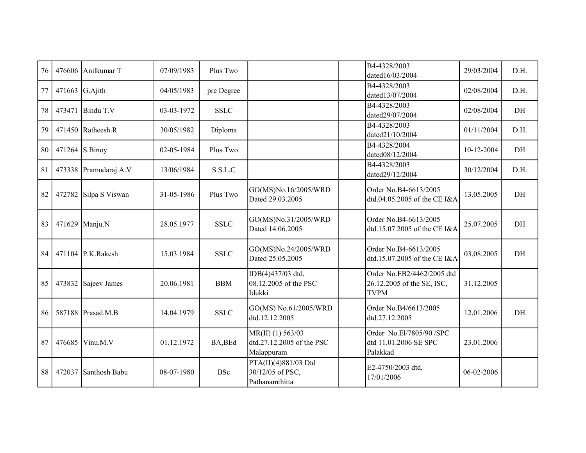| 76 | 476606           | Anilkumar T           | 07/09/1983 | Plus Two    |                                                                | B4-4328/2003<br>dated16/03/2004                                         | 29/03/2004 | D.H. |
|----|------------------|-----------------------|------------|-------------|----------------------------------------------------------------|-------------------------------------------------------------------------|------------|------|
| 77 | 471663 $G.Ajith$ |                       | 04/05/1983 | pre Degree  |                                                                | B4-4328/2003<br>dated13/07/2004                                         | 02/08/2004 | D.H. |
| 78 | 473471           | Bindu T.V             | 03-03-1972 | <b>SSLC</b> |                                                                | B4-4328/2003<br>dated29/07/2004                                         | 02/08/2004 | DH   |
| 79 |                  | $471450$ Ratheesh.R   | 30/05/1982 | Diploma     |                                                                | B4-4328/2003<br>dated21/10/2004                                         | 01/11/2004 | D.H. |
| 80 |                  | $471264$ S.Binoy      | 02-05-1984 | Plus Two    |                                                                | B4-4328/2004<br>dated08/12/2004                                         | 10-12-2004 | DH   |
| 81 |                  | 473338 Pramudaraj A.V | 13/06/1984 | S.S.L.C     |                                                                | B4-4328/2003<br>dated29/12/2004                                         | 30/12/2004 | D.H. |
| 82 | 472782           | Silpa S Viswan        | 31-05-1986 | Plus Two    | GO(MS)No.16/2005/WRD<br>Dated 29.03.2005                       | Order No.B4-6613/2005<br>dtd.04.05.2005 of the CE I&A                   | 13.05.2005 | DH   |
| 83 |                  | 471629 Manju.N        | 28.05.1977 | <b>SSLC</b> | GO(MS)No.31/2005/WRD<br>Dated 14.06.2005                       | Order No.B4-6613/2005<br>dtd.15.07.2005 of the CE I&A                   | 25.07.2005 | DH   |
| 84 |                  | 471104 P.K.Rakesh     | 15.03.1984 | <b>SSLC</b> | GO(MS)No.24/2005/WRD<br>Dated 25.05.2005                       | Order No.B4-6613/2005<br>dtd.15.07.2005 of the CE I&A                   | 03.08.2005 | DH   |
| 85 | 473832           | Sajeev James          | 20.06.1981 | <b>BBM</b>  | IDB(4)437/03 dtd.<br>08.12.2005 of the PSC<br>Idukki           | Order No.EB2/4462/2005 dtd<br>26.12.2005 of the SE, ISC,<br><b>TVPM</b> | 31.12.2005 |      |
| 86 |                  | 587188 Prasad.M.B     | 14.04.1979 | <b>SSLC</b> | GO(MS) No.61/2005/WRD<br>dtd.12.12.2005                        | Order No.B4/6613/2005<br>dtd.27.12.2005                                 | 12.01.2006 | DH   |
| 87 | 476685           | Vinu.M.V              | 01.12.1972 | BA, BEd     | $MR(II)$ (1) 563/03<br>dtd.27.12.2005 of the PSC<br>Malappuram | Order No.El/7805/90 /SPC<br>dtd 11.01.2006 SE SPC<br>Palakkad           | 23.01.2006 |      |
| 88 | 472037           | Santhosh Babu         | 08-07-1980 | <b>BSc</b>  | PTA(II)(4)881/03 Dtd<br>30/12/05 of PSC,<br>Pathanamthitta     | E2-4750/2003 dtd,<br>17/01/2006                                         | 06-02-2006 |      |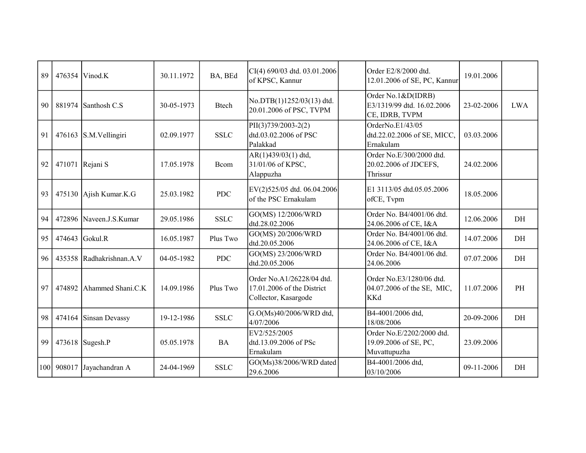| 89  | 476354 | Vinod.K                  | 30.11.1972 | BA, BEd      | $CI(4)$ 690/03 dtd. 03.01.2006<br>of KPSC, Kannur                               | Order E2/8/2000 dtd.<br>12.01.2006 of SE, PC, Kannur                 | 19.01.2006 |            |
|-----|--------|--------------------------|------------|--------------|---------------------------------------------------------------------------------|----------------------------------------------------------------------|------------|------------|
| 90  |        | 881974 Santhosh C.S      | 30-05-1973 | <b>Btech</b> | No.DTB(1)1252/03(13) dtd.<br>20.01.2006 of PSC, TVPM                            | Order No.1&D(IDRB)<br>E3/1319/99 dtd. 16.02.2006<br>CE, IDRB, TVPM   | 23-02-2006 | <b>LWA</b> |
| 91  |        | 476163 S.M.Vellingiri    | 02.09.1977 | <b>SSLC</b>  | PII(3)739/2003-2(2)<br>dtd.03.02.2006 of PSC<br>Palakkad                        | OrderNo.E1/43/05<br>dtd.22.02.2006 of SE, MICC,<br>Ernakulam         | 03.03.2006 |            |
| 92  |        | 471071 Rejani S          | 17.05.1978 | Bcom         | AR(1)439/03(1) dtd,<br>31/01/06 of KPSC,<br>Alappuzha                           | Order No.E/300/2000 dtd.<br>20.02.2006 of JDCEFS,<br>Thrissur        | 24.02.2006 |            |
| 93  |        | 475130 Ajish Kumar.K.G   | 25.03.1982 | <b>PDC</b>   | EV(2)525/05 dtd. 06.04.2006<br>of the PSC Ernakulam                             | E1 3113/05 dtd.05.05.2006<br>ofCE, Tvpm                              | 18.05.2006 |            |
| 94  |        | 472896 Naveen.J.S.Kumar  | 29.05.1986 | <b>SSLC</b>  | GO(MS) 12/2006/WRD<br>dtd.28.02.2006                                            | Order No. B4/4001/06 dtd.<br>24.06.2006 of CE, I&A                   | 12.06.2006 | DH         |
| 95  | 474643 | Gokul.R                  | 16.05.1987 | Plus Two     | GO(MS) 20/2006/WRD<br>dtd.20.05.2006                                            | Order No. B4/4001/06 dtd.<br>24.06.2006 of CE, I&A                   | 14.07.2006 | DH         |
| 96  |        | 435358 Radhakrishnan.A.V | 04-05-1982 | <b>PDC</b>   | GO(MS) 23/2006/WRD<br>dtd.20.05.2006                                            | Order No. B4/4001/06 dtd.<br>24.06.2006                              | 07.07.2006 | DH         |
| 97  | 474892 | Ahammed Shani.C.K        | 14.09.1986 | Plus Two     | Order No.A1/26228/04 dtd.<br>17.01.2006 of the District<br>Collector, Kasargode | Order No.E3/1280/06 dtd.<br>04.07.2006 of the SE, MIC,<br><b>KKd</b> | 11.07.2006 | PH         |
| 98  | 474164 | Sinsan Devassy           | 19-12-1986 | <b>SSLC</b>  | G.O(Ms)40/2006/WRD dtd,<br>4/07/2006                                            | B4-4001/2006 dtd,<br>18/08/2006                                      | 20-09-2006 | DH         |
| 99  |        | $473618$ Sugesh.P        | 05.05.1978 | <b>BA</b>    | EV2/525/2005<br>dtd.13.09.2006 of PSc<br>Ernakulam                              | Order No.E/2202/2000 dtd.<br>19.09.2006 of SE, PC,<br>Muvattupuzha   | 23.09.2006 |            |
| 100 | 908017 | Jayachandran A           | 24-04-1969 | <b>SSLC</b>  | GO(Ms)38/2006/WRD dated<br>29.6.2006                                            | B4-4001/2006 dtd,<br>03/10/2006                                      | 09-11-2006 | DH         |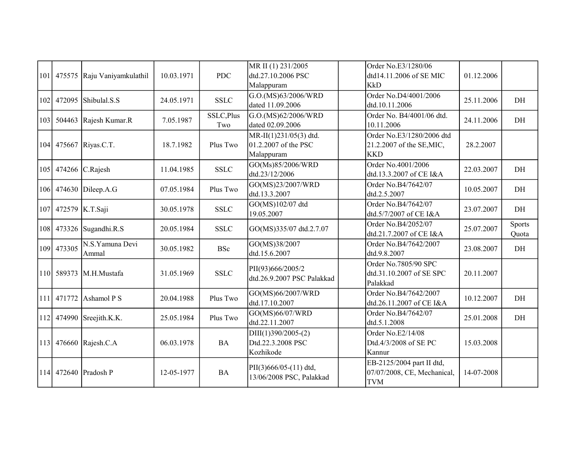| 101 |        | 475575 Raju Vaniyamkulathil | 10.03.1971 | <b>PDC</b>        | MR II (1) 231/2005<br>dtd.27.10.2006 PSC<br>Malappuram       | Order No.E3/1280/06<br>dtd14.11.2006 of SE MIC<br><b>KkD</b>           | 01.12.2006 |                 |
|-----|--------|-----------------------------|------------|-------------------|--------------------------------------------------------------|------------------------------------------------------------------------|------------|-----------------|
| 102 | 472095 | Shibulal.S.S                | 24.05.1971 | <b>SSLC</b>       | G.O.(MS)63/2006/WRD<br>dated 11.09.2006                      | Order No.D4/4001/2006<br>dtd.10.11.2006                                | 25.11.2006 | DH              |
| 103 |        | 504463 Rajesh Kumar.R       | 7.05.1987  | SSLC, Plus<br>Two | G.O.(MS)62/2006/WRD<br>dated 02.09.2006                      | Order No. B4/4001/06 dtd.<br>10.11.2006                                | 24.11.2006 | DH              |
|     |        | 104 475667 Riyas.C.T.       | 18.7.1982  | Plus Two          | MR-II(1)231/05(3) dtd.<br>01.2.2007 of the PSC<br>Malappuram | Order No.E3/1280/2006 dtd<br>21.2.2007 of the SE, MIC,<br><b>KKD</b>   | 28.2.2007  |                 |
| 105 |        | 474266 $C. Rajesh$          | 11.04.1985 | <b>SSLC</b>       | GO(Ms)85/2006/WRD<br>dtd.23/12/2006                          | Order No.4001/2006<br>dtd.13.3.2007 of CE I&A                          | 22.03.2007 | DH              |
| 106 |        | 474630 Dileep.A.G           | 07.05.1984 | Plus Two          | GO(MS)23/2007/WRD<br>dtd.13.3.2007                           | Order No.B4/7642/07<br>dtd.2.5.2007                                    | 10.05.2007 | DH              |
| 107 |        | 472579 K.T.Saji             | 30.05.1978 | <b>SSLC</b>       | GO(MS)102/07 dtd<br>19.05.2007                               | Order No.B4/7642/07<br>dtd.5/7/2007 of CE I&A                          | 23.07.2007 | DH              |
| 108 | 473326 | Sugandhi.R.S                | 20.05.1984 | <b>SSLC</b>       | GO(MS)335/07 dtd.2.7.07                                      | Order No.B4/2052/07<br>dtd.21.7.2007 of CE I&A                         | 25.07.2007 | Sports<br>Quota |
| 109 | 473305 | N.S.Yamuna Devi<br>Ammal    | 30.05.1982 | <b>BSc</b>        | GO(MS)38/2007<br>dtd.15.6.2007                               | Order No.B4/7642/2007<br>dtd.9.8.2007                                  | 23.08.2007 | DH              |
|     |        | 110 589373 M.H.Mustafa      | 31.05.1969 | <b>SSLC</b>       | PII(93)666/2005/2<br>dtd.26.9.2007 PSC Palakkad              | Order No.7805/90 SPC<br>dtd.31.10.2007 of SE SPC<br>Palakkad           | 20.11.2007 |                 |
| 111 | 471772 | Ashamol P S                 | 20.04.1988 | Plus Two          | GO(MS)66/2007/WRD<br>dtd.17.10.2007                          | Order No.B4/7642/2007<br>dtd.26.11.2007 of CE I&A                      | 10.12.2007 | DH              |
|     |        | 112 474990 Sreejith.K.K.    | 25.05.1984 | Plus Two          | GO(MS)66/07/WRD<br>dtd.22.11.2007                            | Order No.B4/7642/07<br>dtd.5.1.2008                                    | 25.01.2008 | DH              |
| 113 |        | 476660 Rajesh.C.A           | 06.03.1978 | <b>BA</b>         | $DIII(1)390/2005-(2)$<br>Dtd.22.3.2008 PSC<br>Kozhikode      | Order No.E2/14/08<br>Dtd.4/3/2008 of SE PC<br>Kannur                   | 15.03.2008 |                 |
|     |        | 114 472640 Pradosh P        | 12-05-1977 | <b>BA</b>         | PII(3)666/05-(11) dtd,<br>13/06/2008 PSC, Palakkad           | EB-2125/2004 part II dtd,<br>07/07/2008, CE, Mechanical,<br><b>TVM</b> | 14-07-2008 |                 |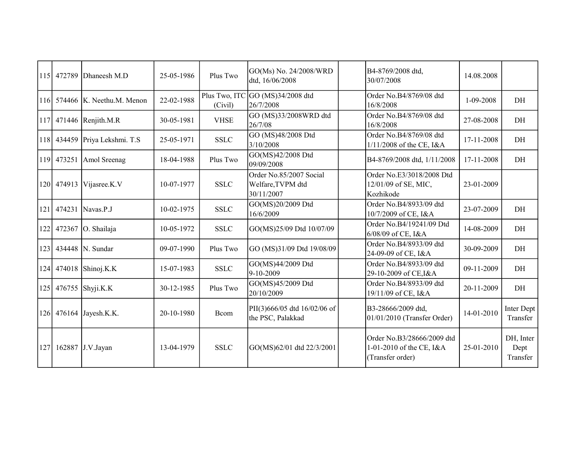|     | 115 472789 | Dhaneesh M.D                  | 25-05-1986 | Plus Two    | GO(Ms) No. 24/2008/WRD<br>dtd, 16/06/2008                  | B4-8769/2008 dtd,<br>30/07/2008                                            | 14.08.2008 |                               |
|-----|------------|-------------------------------|------------|-------------|------------------------------------------------------------|----------------------------------------------------------------------------|------------|-------------------------------|
|     |            | 116 574466 K. Neethu.M. Menon | 22-02-1988 | (Civil)     | Plus Two, ITC GO $(MS)34/2008$ dtd<br>26/7/2008            | Order No.B4/8769/08 dtd<br>16/8/2008                                       | 1-09-2008  | DH                            |
| 117 |            | 471446 Renjith.M.R            | 30-05-1981 | <b>VHSE</b> | GO (MS)33/2008WRD dtd<br>26/7/08                           | Order No.B4/8769/08 dtd<br>16/8/2008                                       | 27-08-2008 | DH                            |
| 118 | 434459     | Priya Lekshmi. T.S            | 25-05-1971 | <b>SSLC</b> | GO (MS)48/2008 Dtd<br>3/10/2008                            | Order No.B4/8769/08 dtd<br>$1/11/2008$ of the CE, I&A                      | 17-11-2008 | DH                            |
|     | 119 473251 | Amol Sreenag                  | 18-04-1988 | Plus Two    | GO(MS)42/2008 Dtd<br>09/09/2008                            | B4-8769/2008 dtd, 1/11/2008                                                | 17-11-2008 | DH                            |
|     | 120 474913 | Vijasree.K.V                  | 10-07-1977 | <b>SSLC</b> | Order No.85/2007 Social<br>Welfare, TVPM dtd<br>30/11/2007 | Order No.E3/3018/2008 Dtd<br>12/01/09 of SE, MIC,<br>Kozhikode             | 23-01-2009 |                               |
| 121 | 474231     | Navas.P.J                     | 10-02-1975 | <b>SSLC</b> | GO(MS)20/2009 Dtd<br>16/6/2009                             | Order No.B4/8933/09 dtd<br>10/7/2009 of CE, I&A                            | 23-07-2009 | DH                            |
| 122 | 472367     | O. Shailaja                   | 10-05-1972 | <b>SSLC</b> | GO(MS)25/09 Dtd 10/07/09                                   | Order No.B4/19241/09 Dtd<br>6/08/09 of CE, I&A                             | 14-08-2009 | DH                            |
| 123 | 434448     | N. Sundar                     | 09-07-1990 | Plus Two    | GO (MS)31/09 Dtd 19/08/09                                  | Order No.B4/8933/09 dtd<br>24-09-09 of CE, I&A                             | 30-09-2009 | DH                            |
| 124 | 474018     | Shinoj.K.K                    | 15-07-1983 | <b>SSLC</b> | GO(MS)44/2009 Dtd<br>9-10-2009                             | Order No.B4/8933/09 dtd<br>29-10-2009 of CE, I&A                           | 09-11-2009 | DH                            |
| 125 | 476755     | Shyji.K.K                     | 30-12-1985 | Plus Two    | GO(MS)45/2009 Dtd<br>20/10/2009                            | Order No.B4/8933/09 dtd<br>19/11/09 of CE, I&A                             | 20-11-2009 | DH                            |
|     |            | 126 476164 Jayesh.K.K.        | 20-10-1980 | Bcom        | PII(3)666/05 dtd 16/02/06 of<br>the PSC, Palakkad          | B3-28666/2009 dtd,<br>$01/01/2010$ (Transfer Order)                        | 14-01-2010 | Inter Dept<br>Transfer        |
| 127 | 162887     | J.V.Jayan                     | 13-04-1979 | <b>SSLC</b> | GO(MS)62/01 dtd 22/3/2001                                  | Order No.B3/28666/2009 dtd<br>1-01-2010 of the CE, I&A<br>(Transfer order) | 25-01-2010 | DH, Inter<br>Dept<br>Transfer |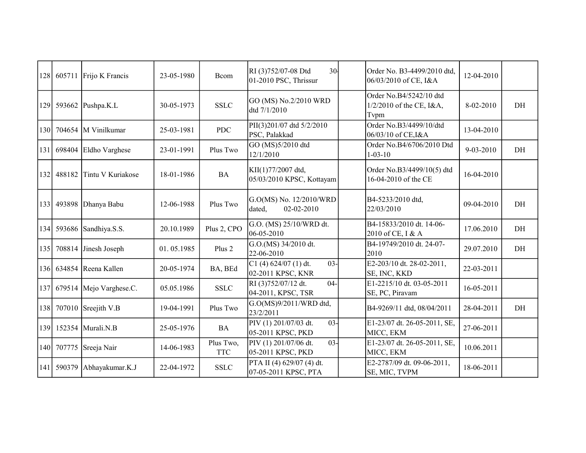| 128 |            | 605711 Frijo K Francis  | 23-05-1980 | Bcom                    | 30 <sub>1</sub><br>RI (3)752/07-08 Dtd<br>01-2010 PSC, Thrissur | Order No. B3-4499/2010 dtd,<br>06/03/2010 of CE, I&A        | 12-04-2010 |    |
|-----|------------|-------------------------|------------|-------------------------|-----------------------------------------------------------------|-------------------------------------------------------------|------------|----|
| 129 |            | 593662 Pushpa.K.L       | 30-05-1973 | <b>SSLC</b>             | GO (MS) No.2/2010 WRD<br>dtd 7/1/2010                           | Order No.B4/5242/10 dtd<br>1/2/2010 of the CE, I&A,<br>Tvpm | 8-02-2010  | DH |
| 130 |            | 704654 M Vinilkumar     | 25-03-1981 | <b>PDC</b>              | PII(3)201/07 dtd 5/2/2010<br>PSC, Palakkad                      | Order No.B3/4499/10/dtd<br>06/03/10 of CE, I&A              | 13-04-2010 |    |
| 131 | 698404     | Eldho Varghese          | 23-01-1991 | Plus Two                | GO (MS)5/2010 dtd<br>12/1/2010                                  | Order No.B4/6706/2010 Dtd<br>$1 - 03 - 10$                  | 9-03-2010  | DH |
| 132 | 488182     | Tintu V Kuriakose       | 18-01-1986 | <b>BA</b>               | KII(1)77/2007 dtd,<br>05/03/2010 KPSC, Kottayam                 | Order No.B3/4499/10(5) dtd<br>16-04-2010 of the CE          | 16-04-2010 |    |
| 133 | 493898     | Dhanya Babu             | 12-06-1988 | Plus Two                | G.O(MS) No. 12/2010/WRD<br>dated,<br>02-02-2010                 | B4-5233/2010 dtd,<br>22/03/2010                             | 09-04-2010 | DH |
| 134 |            | 593686 Sandhiya.S.S.    | 20.10.1989 | Plus 2, CPO             | G.O. (MS) 25/10/WRD dt.<br>06-05-2010                           | B4-15833/2010 dt. 14-06-<br>2010 of CE, I & A               | 17.06.2010 | DH |
| 135 |            | 708814 Jinesh Joseph    | 01.05.1985 | Plus 2                  | G.O.(MS) 34/2010 dt.<br>22-06-2010                              | B4-19749/2010 dt. 24-07-<br>2010                            | 29.07.2010 | DH |
| 136 |            | 634854 Reena Kallen     | 20-05-1974 | BA, BEd                 | $03 -$<br>C1(4) 624/07(1) dt.<br>02-2011 KPSC, KNR              | E2-203/10 dt. 28-02-2011,<br>SE, INC, KKD                   | 22-03-2011 |    |
| 137 |            | 679514 Mejo Varghese.C. | 05.05.1986 | <b>SSLC</b>             | RI (3)752/07/12 dt.<br>$04 -$<br>04-2011, KPSC, TSR             | E1-2215/10 dt. 03-05-2011<br>SE, PC, Piravam                | 16-05-2011 |    |
| 138 |            | 707010 Sreejith V.B     | 19-04-1991 | Plus Two                | G.O(MS)9/2011/WRD dtd,<br>23/2/2011                             | B4-9269/11 dtd, 08/04/2011                                  | 28-04-2011 | DH |
| 139 |            | 152354   Murali.N.B     | 25-05-1976 | <b>BA</b>               | $03 -$<br>PIV (1) 201/07/03 dt.<br>05-2011 KPSC, PKD            | E1-23/07 dt. 26-05-2011, SE,<br>MICC, EKM                   | 27-06-2011 |    |
| 140 |            | 707775 Sreeja Nair      | 14-06-1983 | Plus Two,<br><b>TTC</b> | $03 -$<br>PIV (1) 201/07/06 dt.<br>05-2011 KPSC, PKD            | E1-23/07 dt. 26-05-2011, SE,<br>MICC, EKM                   | 10.06.2011 |    |
|     | 141 590379 | Abhayakumar.K.J         | 22-04-1972 | <b>SSLC</b>             | PTA II (4) 629/07 (4) dt.<br>07-05-2011 KPSC, PTA               | E2-2787/09 dt. 09-06-2011,<br>SE, MIC, TVPM                 | 18-06-2011 |    |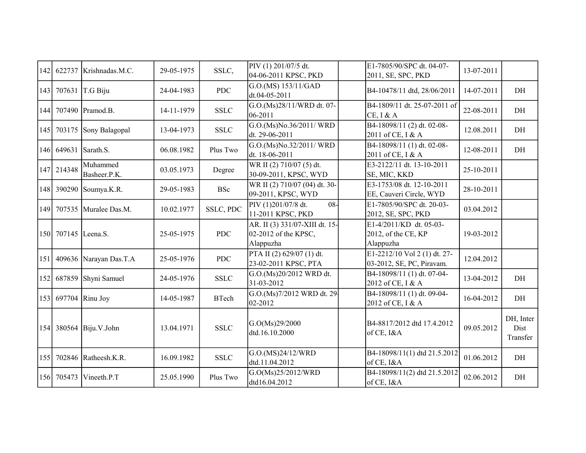| 142 |                     | 622737 Krishnadas.M.C.   | 29-05-1975 | SSLC,        | PIV (1) 201/07/5 dt.<br>04-06-2011 KPSC, PKD                        | E1-7805/90/SPC dt. 04-07-<br>2011, SE, SPC, PKD             | 13-07-2011 |                               |
|-----|---------------------|--------------------------|------------|--------------|---------------------------------------------------------------------|-------------------------------------------------------------|------------|-------------------------------|
| 143 |                     | 707631 T.G Biju          | 24-04-1983 | <b>PDC</b>   | G.O.(MS) 153/11/GAD<br>dt.04-05-2011                                | B4-10478/11 dtd, 28/06/2011                                 | 14-07-2011 | DH                            |
| 144 |                     | 707490 Pramod.B.         | 14-11-1979 | <b>SSLC</b>  | G.O.(Ms)28/11/WRD dt. 07-<br>06-2011                                | B4-1809/11 dt. 25-07-2011 of<br>$CE$ , I & A                | 22-08-2011 | DH                            |
| 145 | 703175              | Sony Balagopal           | 13-04-1973 | <b>SSLC</b>  | G.O.(Ms)No.36/2011/ WRD<br>dt. 29-06-2011                           | B4-18098/11 (2) dt. 02-08-<br>2011 of CE, I & A             | 12.08.2011 | DH                            |
| 146 | 649631              | Sarath.S.                | 06.08.1982 | Plus Two     | G.O.(Ms)No.32/2011/WRD<br>dt. 18-06-2011                            | B4-18098/11 (1) dt. 02-08-<br>2011 of CE, I & A             | 12-08-2011 | DH                            |
|     | 147 214348          | Muhammed<br>Basheer.P.K. | 03.05.1973 | Degree       | WR II (2) 710/07 (5) dt.<br>30-09-2011, KPSC, WYD                   | E3-2122/11 dt. 13-10-2011<br>SE, MIC, KKD                   | 25-10-2011 |                               |
|     | 148 390290          | Soumya.K.R.              | 29-05-1983 | <b>BSc</b>   | WR II (2) 710/07 (04) dt. 30-<br>09-2011, KPSC, WYD                 | E3-1753/08 dt. 12-10-2011<br>EE, Cauveri Circle, WYD        | 28-10-2011 |                               |
|     | 149 707535          | Muralee Das.M.           | 10.02.1977 | SSLC, PDC    | $08 -$<br>PIV (1)201/07/8 dt.<br>11-2011 KPSC, PKD                  | E1-7805/90/SPC dt. 20-03-<br>2012, SE, SPC, PKD             | 03.04.2012 |                               |
|     | 150 707145 Leena.S. |                          | 25-05-1975 | <b>PDC</b>   | AR. II (3) 331/07-XIII dt. 15-<br>02-2012 of the KPSC,<br>Alappuzha | E1-4/2011/KD dt. 05-03-<br>2012, of the CE, KP<br>Alappuzha | 19-03-2012 |                               |
| 151 |                     | 409636 Narayan Das.T.A   | 25-05-1976 | <b>PDC</b>   | PTA II (2) 629/07 (1) dt.<br>23-02-2011 KPSC, PTA                   | E1-2212/10 Vol 2 (1) dt. 27-<br>03-2012, SE, PC, Piravam.   | 12.04.2012 |                               |
| 152 |                     | 687859 Shyni Samuel      | 24-05-1976 | <b>SSLC</b>  | G.O.(Ms)20/2012 WRD dt.<br>31-03-2012                               | B4-18098/11 (1) dt. 07-04-<br>2012 of CE, I & A             | 13-04-2012 | DH                            |
| 153 |                     | $697704$ Rinu Joy        | 14-05-1987 | <b>BTech</b> | G.O.(Ms)7/2012 WRD dt. 29.<br>02-2012                               | B4-18098/11 (1) dt. 09-04-<br>2012 of CE, I & A             | 16-04-2012 | DH                            |
|     |                     | 154 380564 Biju.V.John   | 13.04.1971 | <b>SSLC</b>  | G.O(Ms)29/2000<br>dtd.16.10.2000                                    | B4-8817/2012 dtd 17.4.2012<br>of CE, I&A                    | 09.05.2012 | DH, Inter<br>Dist<br>Transfer |
| 155 |                     | 702846 Ratheesh.K.R.     | 16.09.1982 | <b>SSLC</b>  | G.O.(MS)24/12/WRD<br>dtd.11.04.2012                                 | B4-18098/11(1) dtd 21.5.2012<br>of CE, I&A                  | 01.06.2012 | DH                            |
|     | 156 705473          | Vineeth.P.T              | 25.05.1990 | Plus Two     | G.O(Ms)25/2012/WRD<br>dtd16.04.2012                                 | B4-18098/11(2) dtd 21.5.2012<br>of CE, I&A                  | 02.06.2012 | $\rm{DH}$                     |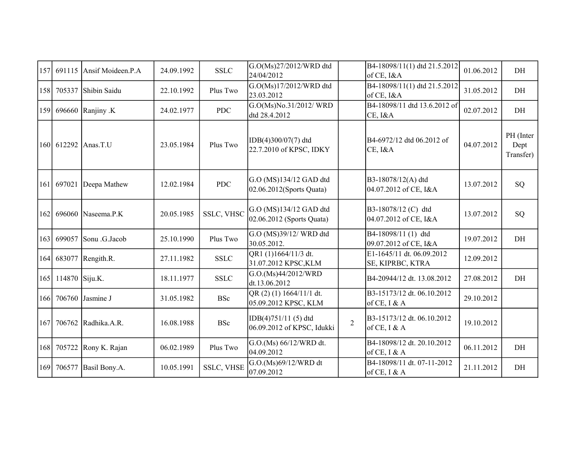| 157              | 691115             | Ansif Moideen.P.A    | 24.09.1992 | <b>SSLC</b>       | G.O(Ms)27/2012/WRD dtd<br>24/04/2012                   |                | B4-18098/11(1) dtd 21.5.2012<br>of CE, I&A    | 01.06.2012 | DH                             |
|------------------|--------------------|----------------------|------------|-------------------|--------------------------------------------------------|----------------|-----------------------------------------------|------------|--------------------------------|
| 158              | 705337             | Shibin Saidu         | 22.10.1992 | Plus Two          | G.O(Ms)17/2012/WRD dtd<br>23.03.2012                   |                | B4-18098/11(1) dtd 21.5.2012<br>of CE, I&A    | 31.05.2012 | DH                             |
| 159              |                    | 696660 Ranjiny .K    | 24.02.1977 | <b>PDC</b>        | G.O(Ms)No.31/2012/ WRD<br>dtd 28.4.2012                |                | B4-18098/11 dtd 13.6.2012 of<br>CE, I&A       | 02.07.2012 | DH                             |
|                  | 160 612292         | Anas.T.U             | 23.05.1984 | Plus Two          | IDB(4)300/07(7) dtd<br>22.7.2010 of KPSC, IDKY         |                | B4-6972/12 dtd 06.2012 of<br>CE, I&A          | 04.07.2012 | PH (Inter<br>Dept<br>Transfer) |
| 161              | 697021             | Deepa Mathew         | 12.02.1984 | <b>PDC</b>        | G.O (MS)134/12 GAD dtd<br>$[02.06.2012$ (Sports Quata) |                | B3-18078/12(A) dtd<br>04.07.2012 of CE, I&A   | 13.07.2012 | SQ                             |
| 162              | 696060             | Naseema.P.K          | 20.05.1985 | <b>SSLC, VHSC</b> | G.O (MS)134/12 GAD dtd<br>02.06.2012 (Sports Quata)    |                | B3-18078/12 (C) dtd<br>04.07.2012 of CE, I&A  | 13.07.2012 | SQ                             |
| 163              | 699057             | Sonu .G.Jacob        | 25.10.1990 | Plus Two          | G.O (MS)39/12/ WRD dtd<br>30.05.2012.                  |                | B4-18098/11 (1) dtd<br>09.07.2012 of CE, I&A  | 19.07.2012 | DH                             |
| 164              |                    | 683077 Rengith.R.    | 27.11.1982 | <b>SSLC</b>       | QR1 (1)1664/11/3 dt.<br>31.07.2012 KPSC, KLM           |                | E1-1645/11 dt. 06.09.2012<br>SE, KIPRBC, KTRA | 12.09.2012 |                                |
|                  | 165 114870 Siju.K. |                      | 18.11.1977 | <b>SSLC</b>       | G.O.(Ms)44/2012/WRD<br>dt.13.06.2012                   |                | B4-20944/12 dt. 13.08.2012                    | 27.08.2012 | DH                             |
| 166 <sup> </sup> | 706760             | Jasmine J            | 31.05.1982 | <b>BSc</b>        | QR (2) (1) 1664/11/1 dt.<br>05.09.2012 KPSC, KLM       |                | B3-15173/12 dt. 06.10.2012<br>of CE, I & A    | 29.10.2012 |                                |
| 167              |                    | 706762 Radhika.A.R.  | 16.08.1988 | <b>BSc</b>        | IDB(4)751/11 (5) dtd<br>06.09.2012 of KPSC, Idukki     | $\overline{2}$ | B3-15173/12 dt. 06.10.2012<br>of CE, I & A    | 19.10.2012 |                                |
| 168              |                    | 705722 Rony K. Rajan | 06.02.1989 | Plus Two          | G.O.(Ms) 66/12/WRD dt.<br>04.09.2012                   |                | B4-18098/12 dt. 20.10.2012<br>of CE, I & A    | 06.11.2012 | DH                             |
| 169              | 706577             | Basil Bony.A.        | 10.05.1991 | <b>SSLC, VHSE</b> | G.O.(Ms)69/12/WRD dt<br>07.09.2012                     |                | B4-18098/11 dt. 07-11-2012<br>of CE, I & A    | 21.11.2012 | DH                             |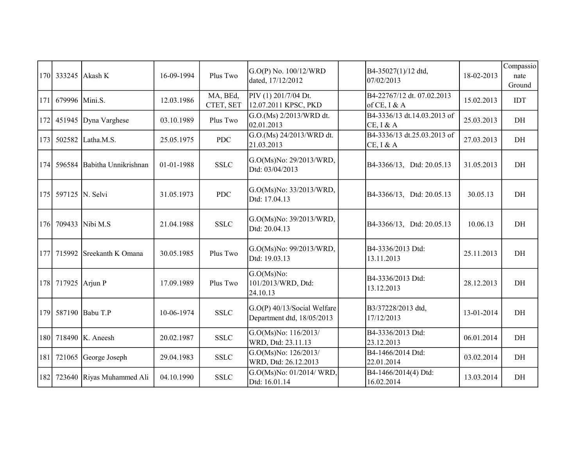|     |                    | 170 333245 Akash K        | 16-09-1994 | Plus Two              | $G.O(P)$ No. 100/12/WRD<br>dated, 17/12/2012              | B4-35027(1)/12 dtd,<br>07/02/2013             | 18-02-2013 | Compassio<br>nate<br>Ground |
|-----|--------------------|---------------------------|------------|-----------------------|-----------------------------------------------------------|-----------------------------------------------|------------|-----------------------------|
| 171 | 679996 Mini.S.     |                           | 12.03.1986 | MA, BEd,<br>CTET, SET | PIV (1) 201/7/04 Dt.<br>12.07.2011 KPSC, PKD              | B4-22767/12 dt. 07.02.2013<br>of CE, I & A    | 15.02.2013 | <b>IDT</b>                  |
| 172 |                    | 451945 Dyna Varghese      | 03.10.1989 | Plus Two              | G.O.(Ms) 2/2013/WRD dt.<br>02.01.2013                     | B4-3336/13 dt.14.03.2013 of<br>$CE$ , I & A   | 25.03.2013 | DH                          |
| 173 | 502582             | Latha.M.S.                | 25.05.1975 | <b>PDC</b>            | G.O.(Ms) 24/2013/WRD dt.<br>21.03.2013                    | B4-3336/13 dt.25.03.2013 of<br>$CE$ , $I & A$ | 27.03.2013 | DH                          |
| 174 | 596584             | Babitha Unnikrishnan      | 01-01-1988 | <b>SSLC</b>           | G.O(Ms)No: 29/2013/WRD,<br>Dtd: 03/04/2013                | B4-3366/13, Dtd: 20.05.13                     | 31.05.2013 | DH                          |
| 175 |                    | 597125   N. Selvi         | 31.05.1973 | <b>PDC</b>            | G.O(Ms)No: 33/2013/WRD,<br>Dtd: 17.04.13                  | B4-3366/13, Dtd: 20.05.13                     | 30.05.13   | DH                          |
|     |                    | 176 709433 Nibi M.S       | 21.04.1988 | <b>SSLC</b>           | G.O(Ms)No: 39/2013/WRD,<br>Dtd: 20.04.13                  | B4-3366/13, Dtd: 20.05.13                     | 10.06.13   | DH                          |
|     | 177 715992         | Sreekanth K Omana         | 30.05.1985 | Plus Two              | G.O(Ms)No: 99/2013/WRD,<br>Dtd: 19.03.13                  | B4-3336/2013 Dtd:<br>13.11.2013               | 25.11.2013 | DH                          |
|     | 178 717925 Arjun P |                           | 17.09.1989 | Plus Two              | $G.O(Ms)No$ :<br>101/2013/WRD, Dtd:<br>24.10.13           | B4-3336/2013 Dtd:<br>13.12.2013               | 28.12.2013 | DH                          |
|     |                    | 179 587190 Babu T.P       | 10-06-1974 | <b>SSLC</b>           | G.O(P) 40/13/Social Welfare<br>Department dtd, 18/05/2013 | B3/37228/2013 dtd,<br>17/12/2013              | 13-01-2014 | DH                          |
|     |                    | 180 718490 K. Aneesh      | 20.02.1987 | <b>SSLC</b>           | G.O(Ms)No: 116/2013/<br>WRD, Dtd: 23.11.13                | B4-3336/2013 Dtd:<br>23.12.2013               | 06.01.2014 | DH                          |
| 181 |                    | 721065 George Joseph      | 29.04.1983 | <b>SSLC</b>           | G.O(Ms)No: 126/2013/<br>WRD, Dtd: 26.12.2013              | B4-1466/2014 Dtd:<br>22.01.2014               | 03.02.2014 | DH                          |
| 182 |                    | 723640 Riyas Muhammed Ali | 04.10.1990 | <b>SSLC</b>           | G.O(Ms)No: 01/2014/ WRD,<br>Dtd: 16.01.14                 | B4-1466/2014(4) Dtd:<br>16.02.2014            | 13.03.2014 | DH                          |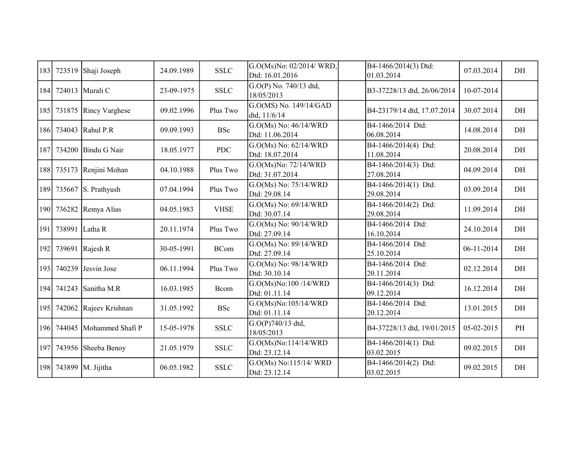| 183 | 723519             | Shaji Joseph                | 24.09.1989 | <b>SSLC</b>           | G.O(Ms)No: 02/2014/ WRD,<br>Dtd: 16.01.2016 | B4-1466/2014(3) Dtd:<br>01.03.2014 | 07.03.2014   | DH |
|-----|--------------------|-----------------------------|------------|-----------------------|---------------------------------------------|------------------------------------|--------------|----|
|     |                    | 184 724013 Murali C         | 23-09-1975 | <b>SSLC</b>           | G.O(P) No. 740/13 dtd,<br>18/05/2013        | B3-37228/13 dtd, 26/06/2014        | 10-07-2014   |    |
|     |                    | 185 731875 Rincy Varghese   | 09.02.1996 | Plus Two              | G.O(MS) No. 149/14/GAD<br>dtd, 11/6/14      | B4-23179/14 dtd, 17.07.2014        | 30.07.2014   | DH |
|     |                    | 186 734043 Rahul P.R        | 09.09.1993 | <b>BSc</b>            | G.O(Ms) No: 46/14/WRD<br>Dtd: 11.06.2014    | B4-1466/2014 Dtd:<br>06.08.2014    | 14.08.2014   | DH |
|     |                    | 187 734200 Bindu G Nair     | 18.05.1977 | <b>PDC</b>            | G.O(Ms) No: 62/14/WRD<br>Dtd: 18.07.2014    | B4-1466/2014(4) Dtd:<br>11.08.2014 | 20.08.2014   | DH |
|     |                    | 188 735173 Renjini Mohan    | 04.10.1988 | Plus Two              | G.O(Ms)No: 72/14/WRD<br>Dtd: 31.07.2014     | B4-1466/2014(3) Dtd:<br>27.08.2014 | 04.09.2014   | DH |
|     |                    | 189 735667 S. Prathyush     | 07.04.1994 | Plus Two              | G.O(Ms) No: 75/14/WRD<br>Dtd: 29.08.14      | B4-1466/2014(1) Dtd:<br>29.08.2014 | 03.09.2014   | DH |
|     |                    | 190 736282 Remya Alias      | 04.05.1983 | <b>VHSE</b>           | G.O(Ms) No: 69/14/WRD<br>Dtd: 30.07.14      | B4-1466/2014(2) Dtd:<br>29.08.2014 | 11.09.2014   | DH |
|     | 191 738991 Latha R |                             | 20.11.1974 | Plus Two              | G.O(Ms) No: 90/14/WRD<br>Dtd: 27.09.14      | B4-1466/2014 Dtd:<br>16.10.2014    | 24.10.2014   | DH |
| 192 |                    | 739691 Rajesh R             | 30-05-1991 | $\operatorname{BCom}$ | G.O(Ms) No: 89/14/WRD<br>Dtd: 27.09.14      | B4-1466/2014 Dtd:<br>25.10.2014    | $06-11-2014$ | DH |
|     |                    | 193 740239 Jesvin Jose      | 06.11.1994 | Plus Two              | G.O(Ms) No: 98/14/WRD<br>Dtd: 30.10.14      | B4-1466/2014 Dtd:<br>20.11.2014    | 02.12.2014   | DH |
|     | 194 741243         | Sanitha M.R                 | 16.03.1985 | Bcom                  | G.O(Ms)No:100/14/WRD<br>Dtd: 01.11.14       | B4-1466/2014(3) Dtd:<br>09.12.2014 | 16.12.2014   | DH |
|     | 195 742062         | Rajeev Krishnan             | 31.05.1992 | <b>BSc</b>            | G.O(Ms)No:105/14/WRD<br>Dtd: 01.11.14       | B4-1466/2014 Dtd:<br>20.12.2014    | 13.01.2015   | DH |
|     |                    | 196 744045 Mohammed Shafi P | 15-05-1978 | <b>SSLC</b>           | G.O(P)740/13 dtd,<br>18/05/2013             | B4-37228/13 dtd, 19/01/2015        | 05-02-2015   | PH |
|     | 197 743956         | Sheeba Benoy                | 21.05.1979 | <b>SSLC</b>           | G.O(Ms)No:114/14/WRD<br>Dtd: 23.12.14       | B4-1466/2014(1) Dtd:<br>03.02.2015 | 09.02.2015   | DH |
|     |                    | 198 743899 M. Jijitha       | 06.05.1982 | <b>SSLC</b>           | G.O(Ms) No:115/14/ WRD<br>Dtd: 23.12.14     | B4-1466/2014(2) Dtd:<br>03.02.2015 | 09.02.2015   | DH |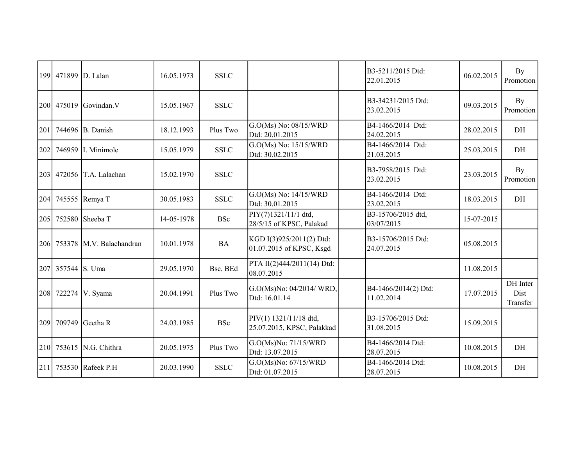|     | 199 471899 D. Lalan |                              | 16.05.1973 | <b>SSLC</b> |                                                      | B3-5211/2015 Dtd:<br>22.01.2015    | 06.02.2015 | By<br>Promotion              |
|-----|---------------------|------------------------------|------------|-------------|------------------------------------------------------|------------------------------------|------------|------------------------------|
|     | 200 475019          | Govindan.V                   | 15.05.1967 | <b>SSLC</b> |                                                      | B3-34231/2015 Dtd:<br>23.02.2015   | 09.03.2015 | By<br>Promotion              |
| 201 |                     | 744696 B. Danish             | 18.12.1993 | Plus Two    | G.O(Ms) No: 08/15/WRD<br>Dtd: 20.01.2015             | B4-1466/2014 Dtd:<br>24.02.2015    | 28.02.2015 | DH                           |
| 202 | 746959              | I. Minimole                  | 15.05.1979 | <b>SSLC</b> | G.O(Ms) No: 15/15/WRD<br>Dtd: 30.02.2015             | B4-1466/2014 Dtd:<br>21.03.2015    | 25.03.2015 | DH                           |
|     | 203 472056          | T.A. Lalachan                | 15.02.1970 | <b>SSLC</b> |                                                      | B3-7958/2015 Dtd:<br>23.02.2015    | 23.03.2015 | <b>By</b><br>Promotion       |
| 204 |                     | 745555 Remya T               | 30.05.1983 | <b>SSLC</b> | G.O(Ms) No: 14/15/WRD<br>Dtd: 30.01.2015             | B4-1466/2014 Dtd:<br>23.02.2015    | 18.03.2015 | DH                           |
| 205 | 752580              | Sheeba T                     | 14-05-1978 | <b>BSc</b>  | PIY(7)1321/11/1 dtd,<br>28/5/15 of KPSC, Palakad     | B3-15706/2015 dtd,<br>03/07/2015   | 15-07-2015 |                              |
|     |                     | 206 753378 M.V. Balachandran | 10.01.1978 | <b>BA</b>   | KGD I(3)925/2011(2) Dtd:<br>01.07.2015 of KPSC, Ksgd | B3-15706/2015 Dtd:<br>24.07.2015   | 05.08.2015 |                              |
|     | 207 357544 S. Uma   |                              | 29.05.1970 | Bsc, BEd    | PTA II(2)444/2011(14) Dtd:<br>08.07.2015             |                                    | 11.08.2015 |                              |
| 208 | 722274              | V. Syama                     | 20.04.1991 | Plus Two    | G.O(Ms)No: 04/2014/ WRD,<br>Dtd: 16.01.14            | B4-1466/2014(2) Dtd:<br>11.02.2014 | 17.07.2015 | DH Inter<br>Dist<br>Transfer |
|     | 209 709749          | Geetha R                     | 24.03.1985 | <b>BSc</b>  | PIV(1) 1321/11/18 dtd,<br>25.07.2015, KPSC, Palakkad | B3-15706/2015 Dtd:<br>31.08.2015   | 15.09.2015 |                              |
| 210 |                     | 753615 N.G. Chithra          | 20.05.1975 | Plus Two    | G.O(Ms)No: 71/15/WRD<br>Dtd: 13.07.2015              | B4-1466/2014 Dtd:<br>28.07.2015    | 10.08.2015 | DH                           |
| 211 |                     | 753530 Rafeek P.H            | 20.03.1990 | <b>SSLC</b> | G.O(Ms)No: 67/15/WRD<br>Dtd: 01.07.2015              | B4-1466/2014 Dtd:<br>28.07.2015    | 10.08.2015 | DH                           |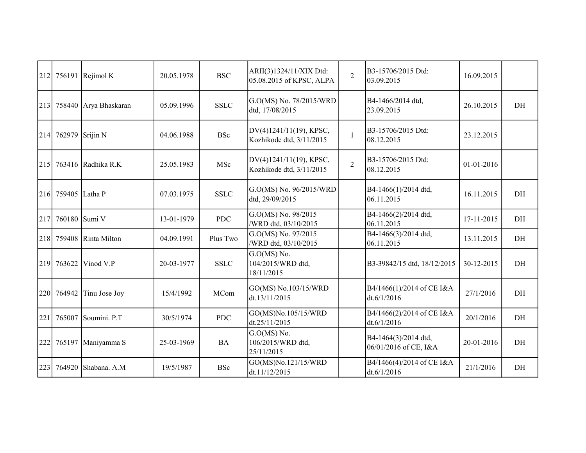| 212              |                 | 756191 Rejimol K   | 20.05.1978 | <b>BSC</b>  | ARII(3)1324/11/XIX Dtd:<br>05.08.2015 of KPSC, ALPA | $\overline{2}$ | B3-15706/2015 Dtd:<br>03.09.2015              | 16.09.2015 |    |
|------------------|-----------------|--------------------|------------|-------------|-----------------------------------------------------|----------------|-----------------------------------------------|------------|----|
| 213              | 758440          | Arya Bhaskaran     | 05.09.1996 | <b>SSLC</b> | G.O(MS) No. 78/2015/WRD<br>dtd, 17/08/2015          |                | B4-1466/2014 dtd,<br>23.09.2015               | 26.10.2015 | DH |
| 214              | 762979 Srijin N |                    | 04.06.1988 | <b>BSc</b>  | DV(4)1241/11(19), KPSC,<br>Kozhikode dtd, 3/11/2015 | $\mathbf{1}$   | B3-15706/2015 Dtd:<br>08.12.2015              | 23.12.2015 |    |
| 215              |                 | 763416 Radhika R.K | 25.05.1983 | MSc         | DV(4)1241/11(19), KPSC,<br>Kozhikode dtd, 3/11/2015 | $\overline{2}$ | B3-15706/2015 Dtd:<br>08.12.2015              | 01-01-2016 |    |
|                  | 216 759405      | Latha P            | 07.03.1975 | <b>SSLC</b> | G.O(MS) No. 96/2015/WRD<br>dtd, 29/09/2015          |                | B4-1466(1)/2014 dtd,<br>06.11.2015            | 16.11.2015 | DH |
| 217              | 760180          | Sumi V             | 13-01-1979 | <b>PDC</b>  | G.O(MS) No. 98/2015<br>/WRD dtd, 03/10/2015         |                | B4-1466(2)/2014 dtd,<br>06.11.2015            | 17-11-2015 | DH |
|                  | 218 759408      | Rinta Milton       | 04.09.1991 | Plus Two    | G.O(MS) No. 97/2015<br>/WRD dtd, 03/10/2015         |                | B4-1466(3)/2014 dtd,<br>06.11.2015            | 13.11.2015 | DH |
| 219 <sup> </sup> | 763622          | Vinod V.P          | 20-03-1977 | <b>SSLC</b> | G.O(MS) No.<br>104/2015/WRD dtd,<br>18/11/2015      |                | B3-39842/15 dtd, 18/12/2015                   | 30-12-2015 | DH |
|                  | 220 764942      | Tinu Jose Joy      | 15/4/1992  | MCom        | GO(MS) No.103/15/WRD<br>dt.13/11/2015               |                | B4/1466(1)/2014 of CE I&A<br>dt.6/1/2016      | 27/1/2016  | DH |
| 221              | 765007          | Soumini. P.T       | 30/5/1974  | <b>PDC</b>  | GO(MS)No.105/15/WRD<br>dt.25/11/2015                |                | B4/1466(2)/2014 of CE I&A<br>dt.6/1/2016      | 20/1/2016  | DH |
| 222              | 765197          | Maniyamma S        | 25-03-1969 | <b>BA</b>   | $G.O(MS)$ No.<br>106/2015/WRD dtd,<br>25/11/2015    |                | B4-1464(3)/2014 dtd,<br>06/01/2016 of CE, I&A | 20-01-2016 | DH |
| 223              | 764920          | Shabana. A.M       | 19/5/1987  | <b>BSc</b>  | GO(MS)No.121/15/WRD<br>dt.11/12/2015                |                | B4/1466(4)/2014 of CE I&A<br>dt.6/1/2016      | 21/1/2016  | DH |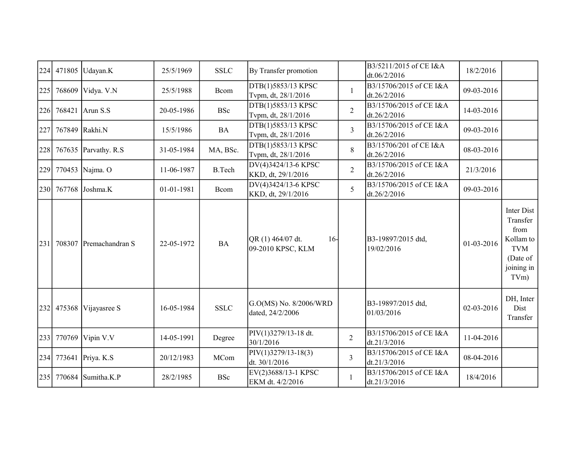| 224 | 471805     | Udayan.K             | 25/5/1969  | <b>SSLC</b>   | By Transfer promotion                           |                | B3/5211/2015 of CE I&A<br>dt.06/2/2016  | 18/2/2016  |                                                                                             |
|-----|------------|----------------------|------------|---------------|-------------------------------------------------|----------------|-----------------------------------------|------------|---------------------------------------------------------------------------------------------|
| 225 | 768609     | Vidya. V.N           | 25/5/1988  | Bcom          | DTB(1)5853/13 KPSC<br>Tvpm, dt, 28/1/2016       | $\mathbf{1}$   | B3/15706/2015 of CE I&A<br>dt.26/2/2016 | 09-03-2016 |                                                                                             |
| 226 | 768421     | Arun S.S             | 20-05-1986 | <b>BSc</b>    | DTB(1)5853/13 KPSC<br>Tvpm, dt, 28/1/2016       | $\overline{2}$ | B3/15706/2015 of CE I&A<br>dt.26/2/2016 | 14-03-2016 |                                                                                             |
| 227 |            | 767849 Rakhi.N       | 15/5/1986  | <b>BA</b>     | DTB(1)5853/13 KPSC<br>Tvpm, dt, 28/1/2016       | $\overline{3}$ | B3/15706/2015 of CE I&A<br>dt.26/2/2016 | 09-03-2016 |                                                                                             |
| 228 |            | 767635 Parvathy. R.S | 31-05-1984 | MA, BSc.      | DTB(1)5853/13 KPSC<br>Tvpm, dt, 28/1/2016       | 8              | B3/15706/201 of CE I&A<br>dt.26/2/2016  | 08-03-2016 |                                                                                             |
| 229 |            | 770453 Najma. O      | 11-06-1987 | <b>B.Tech</b> | DV(4)3424/13-6 KPSC<br>KKD, dt, 29/1/2016       | $\overline{2}$ | B3/15706/2015 of CE I&A<br>dt.26/2/2016 | 21/3/2016  |                                                                                             |
|     |            | 230 767768 Joshma.K  | 01-01-1981 | Bcom          | DV(4)3424/13-6 KPSC<br>KKD, dt, 29/1/2016       | 5              | B3/15706/2015 of CE I&A<br>dt.26/2/2016 | 09-03-2016 |                                                                                             |
| 231 | 708307     | Premachandran S      | 22-05-1972 | <b>BA</b>     | QR (1) 464/07 dt.<br>$16-$<br>09-2010 KPSC, KLM |                | B3-19897/2015 dtd,<br>19/02/2016        | 01-03-2016 | Inter Dist<br>Transfer<br>from<br>Kollam to<br><b>TVM</b><br>(Date of<br>joining in<br>TVm) |
|     | 232 475368 | Vijayasree S         | 16-05-1984 | <b>SSLC</b>   | G.O(MS) No. 8/2006/WRD<br>dated, 24/2/2006      |                | B3-19897/2015 dtd,<br>01/03/2016        | 02-03-2016 | DH, Inter<br>Dist<br>Transfer                                                               |
| 233 | 770769     | Vipin V.V            | 14-05-1991 | Degree        | PIV(1)3279/13-18 dt.<br>30/1/2016               | $\overline{2}$ | B3/15706/2015 of CE I&A<br>dt.21/3/2016 | 11-04-2016 |                                                                                             |
| 234 |            | 773641 Priya. K.S.   | 20/12/1983 | MCom          | $PIV(1)3279/13-18(3)$<br>dt. 30/1/2016          | $\overline{3}$ | B3/15706/2015 of CE I&A<br>dt.21/3/2016 | 08-04-2016 |                                                                                             |
| 235 |            | 770684 Sumitha.K.P   | 28/2/1985  | <b>BSc</b>    | EV(2)3688/13-1 KPSC<br>EKM dt. 4/2/2016         | 1              | B3/15706/2015 of CE I&A<br>dt.21/3/2016 | 18/4/2016  |                                                                                             |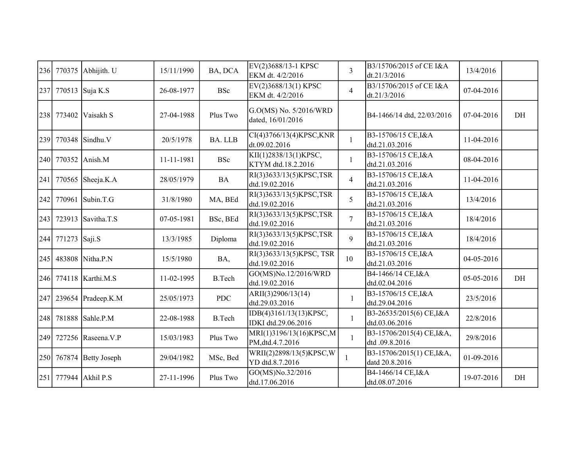| 236 | 770375            | Abhijith. U             | 15/11/1990 | BA, DCA       | EV(2)3688/13-1 KPSC<br>EKM dt. 4/2/2016       | $\overline{3}$ | B3/15706/2015 of CE I&A<br>dt.21/3/2016     | 13/4/2016  |    |
|-----|-------------------|-------------------------|------------|---------------|-----------------------------------------------|----------------|---------------------------------------------|------------|----|
| 237 |                   | 770513 Suja K.S         | 26-08-1977 | <b>BSc</b>    | EV(2)3688/13(1) KPSC<br>EKM dt. 4/2/2016      | $\overline{4}$ | B3/15706/2015 of CE I&A<br>dt.21/3/2016     | 07-04-2016 |    |
| 238 | 773402            | Vaisakh S               | 27-04-1988 | Plus Two      | G.O(MS) No. 5/2016/WRD<br>dated, 16/01/2016   |                | B4-1466/14 dtd, 22/03/2016                  | 07-04-2016 | DH |
| 239 |                   | 770348 Sindhu.V         | 20/5/1978  | BA. LLB       | CI(4)3766/13(4)KPSC, KNR<br>dt.09.02.2016     | $\mathbf{1}$   | B3-15706/15 CE, I&A<br>dtd.21.03.2016       | 11-04-2016 |    |
| 240 |                   | 770352 Anish.M          | 11-11-1981 | <b>BSc</b>    | KII(1)2838/13(1)KPSC,<br>KTYM dtd.18.2.2016   | $\mathbf{1}$   | B3-15706/15 CE, I&A<br>dtd.21.03.2016       | 08-04-2016 |    |
| 241 |                   | 770565 Sheeja.K.A       | 28/05/1979 | <b>BA</b>     | RI(3)3633/13(5)KPSC,TSR<br>dtd.19.02.2016     | $\overline{4}$ | B3-15706/15 CE, I&A<br>dtd.21.03.2016       | 11-04-2016 |    |
| 242 |                   | 770961 Subin.T.G        | 31/8/1980  | MA, BEd       | RI(3)3633/13(5)KPSC,TSR<br>dtd.19.02.2016     | 5              | B3-15706/15 CE, I&A<br>dtd.21.03.2016       | 13/4/2016  |    |
| 243 |                   | 723913 Savitha.T.S      | 07-05-1981 | BSc, BEd      | RI(3)3633/13(5)KPSC,TSR<br>dtd.19.02.2016     | $\overline{7}$ | B3-15706/15 CE, I&A<br>dtd.21.03.2016       | 18/4/2016  |    |
|     | 244 771273 Saji.S |                         | 13/3/1985  | Diploma       | RI(3)3633/13(5)KPSC,TSR<br>dtd.19.02.2016     | 9              | B3-15706/15 CE, I&A<br>dtd.21.03.2016       | 18/4/2016  |    |
| 245 |                   | 483808 Nitha.P.N        | 15/5/1980  | BA,           | RI(3)3633/13(5)KPSC, TSR<br>dtd.19.02.2016    | 10             | B3-15706/15 CE, I&A<br>dtd.21.03.2016       | 04-05-2016 |    |
|     |                   | 246 774118 Karthi.M.S   | 11-02-1995 | <b>B.Tech</b> | GO(MS)No.12/2016/WRD<br>dtd.19.02.2016        |                | B4-1466/14 CE, I&A<br>dtd.02.04.2016        | 05-05-2016 | DH |
| 247 |                   | 239654 Pradeep.K.M      | 25/05/1973 | <b>PDC</b>    | ARII(3)2906/13(14)<br>dtd.29.03.2016          | $\mathbf{1}$   | B3-15706/15 CE, I&A<br>dtd.29.04.2016       | 23/5/2016  |    |
| 248 |                   | 781888 Sahle.P.M        | 22-08-1988 | <b>B.Tech</b> | IDB(4)3161/13(13)KPSC,<br>IDKI dtd.29.06.2016 | $\mathbf{1}$   | B3-26535/2015(6) CE, I&A<br>dtd.03.06.2016  | 22/8/2016  |    |
| 249 |                   | 727256 Raseena.V.P      | 15/03/1983 | Plus Two      | MRI(1)3196/13(16)KPSC,M<br>PM, dtd.4.7.2016   | 1              | B3-15706/2015(4) CE, I&A,<br>dtd .09.8.2016 | 29/8/2016  |    |
|     |                   | 250 767874 Betty Joseph | 29/04/1982 | MSc, Bed      | WRII(2)2898/13(5)KPSC,W<br>YD dtd.8.7.2016    | 1              | B3-15706/2015(1) CE, I&A,<br>datd 20.8.2016 | 01-09-2016 |    |
| 251 |                   | 777944 Akhil P.S        | 27-11-1996 | Plus Two      | GO(MS)No.32/2016<br>dtd.17.06.2016            |                | B4-1466/14 CE, I&A<br>dtd.08.07.2016        | 19-07-2016 | DH |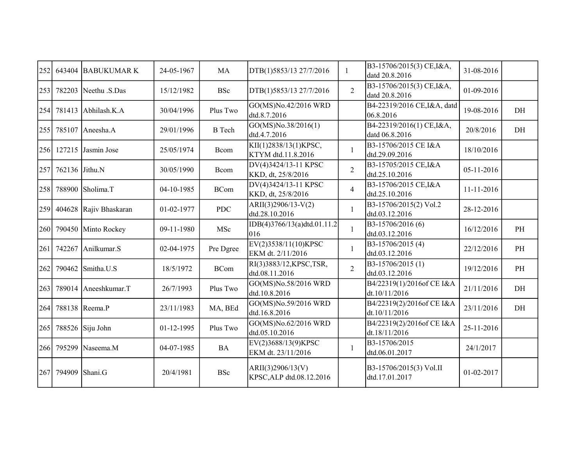| 252 | 643404         | <b>BABUKUMARK</b>    | 24-05-1967 | MA            | DTB(1)5853/13 27/7/2016                       | 1              | B3-15706/2015(3) CE, I&A,<br>datd 20.8.2016 | 31-08-2016 |    |
|-----|----------------|----------------------|------------|---------------|-----------------------------------------------|----------------|---------------------------------------------|------------|----|
| 253 |                | 782203 Neethu .S.Das | 15/12/1982 | <b>BSc</b>    | DTB(1)5853/13 27/7/2016                       | $\overline{2}$ | B3-15706/2015(3) CE, I&A,<br>datd 20.8.2016 | 01-09-2016 |    |
| 254 | 781413         | Abhilash.K.A         | 30/04/1996 | Plus Two      | GO(MS)No.42/2016 WRD<br>dtd.8.7.2016          |                | B4-22319/2016 CE, I&A, datd<br>06.8.2016    | 19-08-2016 | DH |
| 255 | 785107         | Aneesha.A            | 29/01/1996 | <b>B</b> Tech | GO(MS)No.38/2016(1)<br>dtd.4.7.2016           |                | B4-22319/2016(1) CE, I&A,<br>datd 06.8.2016 | 20/8/2016  | DH |
| 256 | 127215         | Jasmin Jose          | 25/05/1974 | Bcom          | KII(1)2838/13(1)KPSC,<br>KTYM dtd.11.8.2016   | 1              | B3-15706/2015 CE I&A<br>dtd.29.09.2016      | 18/10/2016 |    |
| 257 | 762136 Jithu.N |                      | 30/05/1990 | Bcom          | DV(4)3424/13-11 KPSC<br>KKD, dt, 25/8/2016    | $\overline{2}$ | B3-15705/2015 CE, I&A<br>dtd.25.10.2016     | 05-11-2016 |    |
| 258 |                | 788900 Sholima.T     | 04-10-1985 | <b>BCom</b>   | DV(4)3424/13-11 KPSC<br>KKD, dt, 25/8/2016    | $\overline{4}$ | B3-15706/2015 CE, I&A<br>dtd.25.10.2016     | 11-11-2016 |    |
| 259 | 404628         | Rajiv Bhaskaran      | 01-02-1977 | <b>PDC</b>    | ARII(3)2906/13-V(2)<br>dtd.28.10.2016         | $\mathbf{1}$   | B3-15706/2015(2) Vol.2<br>dtd.03.12.2016    | 28-12-2016 |    |
| 260 | 790450         | Minto Rockey         | 09-11-1980 | MSc           | IDB(4)3766/13(a)dtd.01.11.2<br>016            | 1              | B3-15706/2016 (6)<br>dtd.03.12.2016         | 16/12/2016 | PH |
| 261 | 742267         | Anilkumar.S          | 02-04-1975 | Pre Dgree     | EV(2)3538/11(10)KPSC<br>EKM dt. 2/11/2016     | 1              | B3-15706/2015 (4)<br>dtd.03.12.2016         | 22/12/2016 | PH |
| 262 | 790462         | Smitha.U.S           | 18/5/1972  | <b>BCom</b>   | RI(3)3883/12, KPSC, TSR,<br>dtd.08.11.2016    | $\overline{2}$ | B3-15706/2015 (1)<br>dtd.03.12.2016         | 19/12/2016 | PH |
| 263 | 789014         | Aneeshkumar.T        | 26/7/1993  | Plus Two      | GO(MS)No.58/2016 WRD<br>dtd.10.8.2016         |                | B4/22319(1)/2016of CE I&A<br>dt.10/11/2016  | 21/11/2016 | DH |
| 264 |                | 788138 Reema.P       | 23/11/1983 | MA, BEd       | GO(MS)No.59/2016 WRD<br>dtd.16.8.2016         |                | B4/22319(2)/2016of CE I&A<br>dt.10/11/2016  | 23/11/2016 | DH |
| 265 |                | $788526$ Siju John   | 01-12-1995 | Plus Two      | GO(MS)No.62/2016 WRD<br>dtd.05.10.2016        |                | B4/22319(2)/2016of CE I&A<br>dt.18/11/2016  | 25-11-2016 |    |
| 266 | 795299         | Naseema.M            | 04-07-1985 | <b>BA</b>     | EV(2)3688/13(9)KPSC<br>EKM dt. 23/11/2016     | $\mathbf{1}$   | B3-15706/2015<br>dtd.06.01.2017             | 24/1/2017  |    |
|     | 267 794909     | Shani.G              | 20/4/1981  | <b>BSc</b>    | ARII(3)2906/13(V)<br>KPSC, ALP dtd.08.12.2016 |                | B3-15706/2015(3) Vol.II<br>dtd.17.01.2017   | 01-02-2017 |    |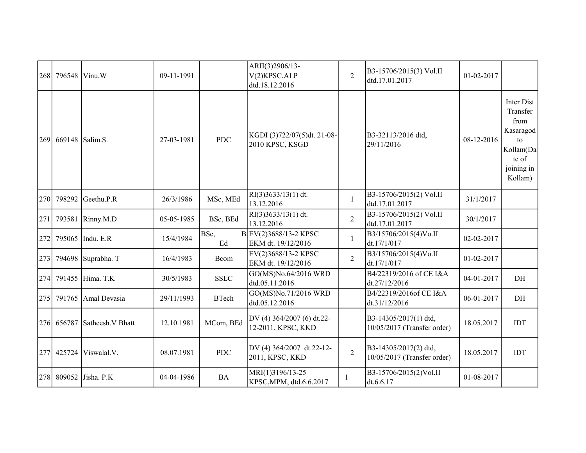| 268 | 796548 | Vinu.W             | 09-11-1991 |              | ARII(3)2906/13-<br>V(2)KPSC, ALP<br>dtd.18.12.2016 | $\overline{2}$ | B3-15706/2015(3) Vol.II<br>dtd.17.01.2017            | 01-02-2017 |                                                                                                  |
|-----|--------|--------------------|------------|--------------|----------------------------------------------------|----------------|------------------------------------------------------|------------|--------------------------------------------------------------------------------------------------|
| 269 | 669148 | Salim.S.           | 27-03-1981 | <b>PDC</b>   | KGDI (3)722/07(5)dt. 21-08-<br>2010 KPSC, KSGD     |                | B3-32113/2016 dtd,<br>29/11/2016                     | 08-12-2016 | Inter Dist<br>Transfer<br>from<br>Kasaragod<br>to<br>Kollam(Da<br>te of<br>joining in<br>Kollam) |
| 270 | 798292 | Geethu.P.R         | 26/3/1986  | MSc, MEd     | $RI(3)3633/13(1)$ dt.<br>13.12.2016                | $\mathbf{1}$   | B3-15706/2015(2) Vol.II<br>dtd.17.01.2017            | 31/1/2017  |                                                                                                  |
| 271 | 793581 | Rinny.M.D          | 05-05-1985 | BSc, BEd     | $RI(3)3633/13(1)$ dt.<br>13.12.2016                | $\overline{2}$ | B3-15706/2015(2) Vol.II<br>dtd.17.01.2017            | 30/1/2017  |                                                                                                  |
| 272 |        | 795065 Indu. E.R   | 15/4/1984  | BSc,<br>Ed   | BEV(2)3688/13-2 KPSC<br>EKM dt. 19/12/2016         | 1              | B3/15706/2015(4)Vo.II<br>dt.17/1/017                 | 02-02-2017 |                                                                                                  |
| 273 |        | 794698 Suprabha. T | 16/4/1983  | Bcom         | EV(2)3688/13-2 KPSC<br>EKM dt. 19/12/2016          | $\overline{2}$ | B3/15706/2015(4)Vo.II<br>dt.17/1/017                 | 01-02-2017 |                                                                                                  |
| 274 |        | 791455 Hima. T.K   | 30/5/1983  | <b>SSLC</b>  | GO(MS)No.64/2016 WRD<br>dtd.05.11.2016             |                | B4/22319/2016 of CE I&A<br>dt.27/12/2016             | 04-01-2017 | $\rm{DH}$                                                                                        |
| 275 | 791765 | Amal Devasia       | 29/11/1993 | <b>BTech</b> | GO(MS)No.71/2016 WRD<br>dtd.05.12.2016             |                | B4/22319/2016of CE I&A<br>dt.31/12/2016              | 06-01-2017 | DH                                                                                               |
| 276 | 656787 | Satheesh.V Bhatt   | 12.10.1981 | MCom, BEd    | DV (4) 364/2007 (6) dt.22-<br>12-2011, KPSC, KKD   |                | B3-14305/2017(1) dtd,<br>10/05/2017 (Transfer order) | 18.05.2017 | IDT                                                                                              |
| 277 | 425724 | Viswalal.V.        | 08.07.1981 | <b>PDC</b>   | DV (4) 364/2007 dt.22-12-<br>2011, KPSC, KKD       | $\overline{2}$ | B3-14305/2017(2) dtd,<br>10/05/2017 (Transfer order) | 18.05.2017 | <b>IDT</b>                                                                                       |
| 278 | 809052 | Jisha. P.K         | 04-04-1986 | <b>BA</b>    | MRI(1)3196/13-25<br>KPSC, MPM, dtd.6.6.2017        |                | B3-15706/2015(2)Vol.II<br>dt.6.6.17                  | 01-08-2017 |                                                                                                  |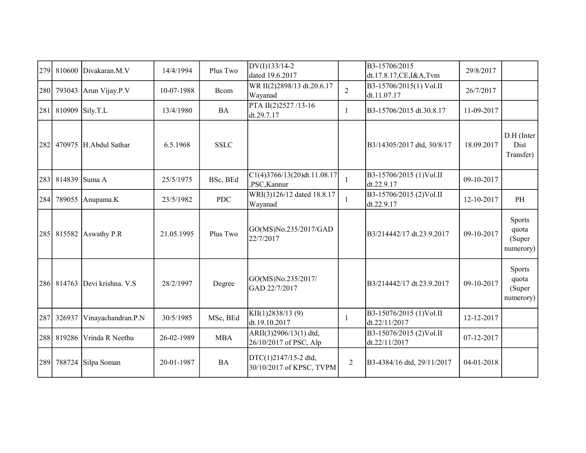| 279 | 810600     | Divakaran.M.V      | 14/4/1994  | Plus Two    | DV(I)133/14-2<br>dated 19.6.2017                 |                | B3-15706/2015<br>dt.17.8.17,CE,I&A,Tvm   | 29/8/2017  |                                               |
|-----|------------|--------------------|------------|-------------|--------------------------------------------------|----------------|------------------------------------------|------------|-----------------------------------------------|
| 280 | 793043     | Arun Vijay.P.V     | 10-07-1988 | Bcom        | WR II(2)2898/13 dt.20.6.17<br>Wayanad            | $\overline{2}$ | B3-15706/2015(1) Vol.II<br>dt.11.07.17   | 26/7/2017  |                                               |
| 281 |            | 810909 Sily.T.L    | 13/4/1980  | <b>BA</b>   | PTA II(2)2527/13-16<br>dt.29.7.17                | 1              | B3-15706/2015 dt.30.8.17                 | 11-09-2017 |                                               |
| 282 | 470975     | H.Abdul Sathar     | 6.5.1968   | <b>SSLC</b> |                                                  |                | B3/14305/2017 dtd, 30/8/17               | 18.09.2017 | D.H (Inter<br>Dist<br>Transfer)               |
| 283 | 814839     | Suma A             | 25/5/1975  | BSc, BEd    | C1(4)3766/13(20)dt.11.08.17<br>,PSC,Kannur       | 1              | B3-15706/2015 (1)Vol.II<br>dt.22.9.17    | 09-10-2017 |                                               |
| 284 | 789055     | Anupama.K          | 23/5/1982  | <b>PDC</b>  | WRI(3)126/12 dated 18.8.17<br>Wayanad            |                | B3-15706/2015 (2)Vol.II<br>dt.22.9.17    | 12-10-2017 | PH                                            |
|     | 285 815582 | Aswathy P.R        | 21.05.1995 | Plus Two    | GO(MS)No.235/2017/GAD<br>22/7/2017               |                | B3/214442/17 dt.23.9.2017                | 09-10-2017 | Sports<br>quota<br>(Super<br>numerory)        |
|     | 286 814763 | Devi krishna. V.S  | 28/2/1997  | Degree      | GO(MS)No.235/2017/<br>GAD 22/7/2017              |                | B3/214442/17 dt.23.9.2017                | 09-10-2017 | <b>Sports</b><br>quota<br>(Super<br>numerory) |
| 287 | 326937     | Vinayachandran.P.N | 30/5/1985  | MSc, BEd    | KII(1)2838/13(9)<br>dt.19.10.2017                | 1              | B3-15076/2015 (1)Vol.II<br>dt.22/11/2017 | 12-12-2017 |                                               |
| 288 | 819286     | Vrinda R Neethu    | 26-02-1989 | <b>MBA</b>  | ARII(3)2906/13(1) dtd,<br>26/10/2017 of PSC, Alp |                | B3-15076/2015 (2)Vol.II<br>dt.22/11/2017 | 07-12-2017 |                                               |
| 289 | 788724     | Silpa Soman        | 20-01-1987 | <b>BA</b>   | DTC(1)2147/15-2 dtd,<br>30/10/2017 of KPSC, TVPM | 2              | B3-4384/16 dtd, 29/11/2017               | 04-01-2018 |                                               |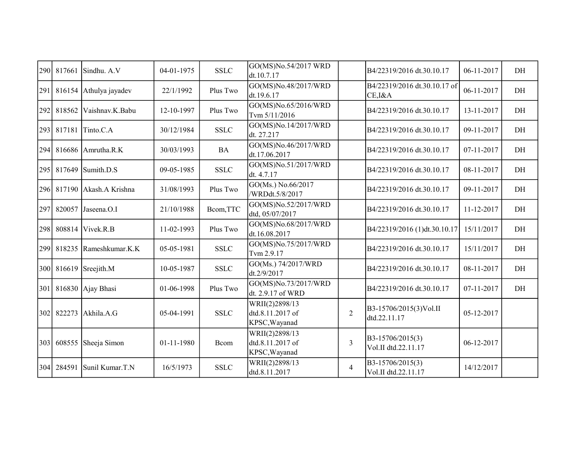| 290 | 817661     | Sindhu. A.V           | 04-01-1975 | <b>SSLC</b> | GO(MS)No.54/2017 WRD<br>dt.10.7.17                  |                | B4/22319/2016 dt.30.10.17               | 06-11-2017 | DH |
|-----|------------|-----------------------|------------|-------------|-----------------------------------------------------|----------------|-----------------------------------------|------------|----|
| 291 | 816154     | Athulya jayadev       | 22/1/1992  | Plus Two    | GO(MS)No.48/2017/WRD<br>dt.19.6.17                  |                | B4/22319/2016 dt.30.10.17 of<br>CE, I&A | 06-11-2017 | DH |
| 292 | 818562     | Vaishnav.K.Babu       | 12-10-1997 | Plus Two    | GO(MS)No.65/2016/WRD<br>Tvm 5/11/2016               |                | B4/22319/2016 dt.30.10.17               | 13-11-2017 | DH |
| 293 | 817181     | Tinto.C.A             | 30/12/1984 | <b>SSLC</b> | GO(MS)No.14/2017/WRD<br>dt. 27.217                  |                | B4/22319/2016 dt.30.10.17               | 09-11-2017 | DH |
| 294 | 816686     | Amrutha.R.K           | 30/03/1993 | <b>BA</b>   | GO(MS)No.46/2017/WRD<br>dt.17.06.2017               |                | B4/22319/2016 dt.30.10.17               | 07-11-2017 | DH |
|     | 295 817649 | Sumith.D.S            | 09-05-1985 | <b>SSLC</b> | GO(MS)No.51/2017/WRD<br>dt. 4.7.17                  |                | B4/22319/2016 dt.30.10.17               | 08-11-2017 | DH |
|     | 296 817190 | Akash.A Krishna       | 31/08/1993 | Plus Two    | GO(Ms.) No.66/2017<br>/WRDdt.5/8/2017               |                | B4/22319/2016 dt.30.10.17               | 09-11-2017 | DH |
| 297 | 820057     | Jaseena.O.I           | 21/10/1988 | Bcom, TTC   | GO(MS)No.52/2017/WRD<br>dtd, 05/07/2017             |                | B4/22319/2016 dt.30.10.17               | 11-12-2017 | DH |
| 298 | 808814     | Vivek.R.B             | 11-02-1993 | Plus Two    | GO(MS)No.68/2017/WRD<br>dt.16.08.2017               |                | B4/22319/2016 (1)dt.30.10.17            | 15/11/2017 | DH |
| 299 | 818235     | Rameshkumar.K.K       | 05-05-1981 | <b>SSLC</b> | GO(MS)No.75/2017/WRD<br>Tvm 2.9.17                  |                | B4/22319/2016 dt.30.10.17               | 15/11/2017 | DH |
| 300 |            | $816619$ Sreejith.M   | 10-05-1987 | <b>SSLC</b> | GO(Ms.) 74/2017/WRD<br>dt.2/9/2017                  |                | B4/22319/2016 dt.30.10.17               | 08-11-2017 | DH |
|     |            | 301 816830 Ajay Bhasi | 01-06-1998 | Plus Two    | GO(MS)No.73/2017/WRD<br>dt. 2.9.17 of WRD           |                | B4/22319/2016 dt.30.10.17               | 07-11-2017 | DH |
|     | 302 822273 | Akhila.A.G            | 05-04-1991 | <b>SSLC</b> | WRII(2)2898/13<br>dtd.8.11.2017 of<br>KPSC, Wayanad | $\overline{2}$ | B3-15706/2015(3)Vol.II<br>dtd.22.11.17  | 05-12-2017 |    |
| 303 | 608555     | Sheeja Simon          | 01-11-1980 | Bcom        | WRII(2)2898/13<br>dtd.8.11.2017 of<br>KPSC, Wayanad | 3              | B3-15706/2015(3)<br>Vol.II dtd.22.11.17 | 06-12-2017 |    |
|     | 304 284591 | Sunil Kumar.T.N       | 16/5/1973  | <b>SSLC</b> | WRII(2)2898/13<br>dtd.8.11.2017                     | $\overline{4}$ | B3-15706/2015(3)<br>Vol.II dtd.22.11.17 | 14/12/2017 |    |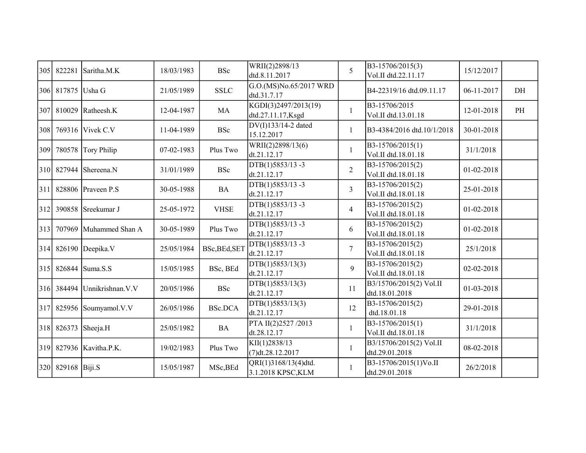| 305 | 822281            | Saritha.M.K                   | 18/03/1983 | <b>BSc</b>     | WRII(2)2898/13<br>dtd.8.11.2017            | 5              | B3-15706/2015(3)<br>Vol.II dtd.22.11.17   | 15/12/2017 |    |
|-----|-------------------|-------------------------------|------------|----------------|--------------------------------------------|----------------|-------------------------------------------|------------|----|
| 306 | 817875 Usha G     |                               | 21/05/1989 | <b>SSLC</b>    | G.O.(MS)No.65/2017 WRD<br>dtd.31.7.17      |                | B4-22319/16 dtd.09.11.17                  | 06-11-2017 | DH |
| 307 |                   | 810029 Ratheesh. $K$          | 12-04-1987 | <b>MA</b>      | KGDI(3)2497/2013(19)<br>dtd.27.11.17, Ksgd | $\mathbf{1}$   | B3-15706/2015<br>Vol.II dtd.13.01.18      | 12-01-2018 | PH |
| 308 |                   | 769316 Vivek C.V              | 11-04-1989 | <b>BSc</b>     | DV(I)133/14-2 dated<br>15.12.2017          | 1              | B3-4384/2016 dtd.10/1/2018                | 30-01-2018 |    |
| 309 |                   | 780578 Tory Philip            | 07-02-1983 | Plus Two       | WRII(2)2898/13(6)<br>dt.21.12.17           |                | B3-15706/2015(1)<br>Vol.II dtd.18.01.18   | 31/1/2018  |    |
|     |                   | 310 827944 Shereena.N         | 31/01/1989 | <b>BSc</b>     | DTB(1)5853/13-3<br>dt.21.12.17             | $\overline{2}$ | B3-15706/2015(2)<br>Vol.II dtd.18.01.18   | 01-02-2018 |    |
| 311 |                   | 828806 Praveen P.S            | 30-05-1988 | <b>BA</b>      | DTB(1)5853/13-3<br>dt.21.12.17             | $\overline{3}$ | B3-15706/2015(2)<br>Vol.II dtd.18.01.18   | 25-01-2018 |    |
| 312 |                   | 390858 Sreekumar J            | 25-05-1972 | <b>VHSE</b>    | DTB(1)5853/13-3<br>dt.21.12.17             | $\overline{4}$ | B3-15706/2015(2)<br>Vol.II dtd.18.01.18   | 01-02-2018 |    |
| 313 |                   | 707969 Muhammed Shan A        | 30-05-1989 | Plus Two       | DTB(1)5853/13-3<br>dt.21.12.17             | 6              | B3-15706/2015(2)<br>Vol.II dtd.18.01.18   | 01-02-2018 |    |
| 314 |                   | 826190 Deepika.V              | 25/05/1984 | BSc, BEd, SET  | DTB(1)5853/13-3<br>dt.21.12.17             | $\tau$         | B3-15706/2015(2)<br>Vol.II dtd.18.01.18   | 25/1/2018  |    |
| 315 |                   | 826844 Suma.S.S               | 15/05/1985 | BSc, BEd       | DTB(1)5853/13(3)<br>dt.21.12.17            | 9              | B3-15706/2015(2)<br>Vol.II dtd.18.01.18   | 02-02-2018 |    |
|     |                   | 316 384494 Unnikrishnan. V. V | 20/05/1986 | <b>BSc</b>     | DTB(1)5853/13(3)<br>dt.21.12.17            | 11             | B3/15706/2015(2) Vol.II<br>dtd.18.01.2018 | 01-03-2018 |    |
| 317 |                   | 825956 Soumyamol.V.V          | 26/05/1986 | <b>BSc.DCA</b> | DTB(1)5853/13(3)<br>dt.21.12.17            | 12             | B3-15706/2015(2)<br>dtd.18.01.18          | 29-01-2018 |    |
| 318 |                   | $826373$ Sheeja.H             | 25/05/1982 | <b>BA</b>      | PTA II(2)2527/2013<br>dt.28.12.17          | 1              | B3-15706/2015(1)<br>Vol.II dtd.18.01.18   | 31/1/2018  |    |
|     |                   | 319 827936 Kavitha.P.K.       | 19/02/1983 | Plus Two       | KII(1)2838/13<br>(7)dt.28.12.2017          | 1              | B3/15706/2015(2) Vol.II<br>dtd.29.01.2018 | 08-02-2018 |    |
|     | 320 829168 Biji.S |                               | 15/05/1987 | MSc, BEd       | QRI(1)3168/13(4)dtd.<br>3.1.2018 KPSC, KLM | 1              | B3-15706/2015(1)Vo.II<br>dtd.29.01.2018   | 26/2/2018  |    |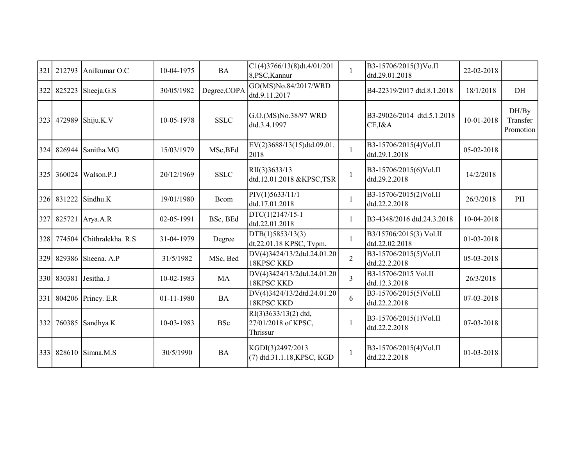| 321 | 212793     | Anilkumar O.C             | 10-04-1975 | <b>BA</b>    | C1(4)3766/13(8)dt.4/01/201<br>8,PSC,Kannur              | 1              | B3-15706/2015(3)Vo.II<br>dtd.29.01.2018   | 22-02-2018 |                                |
|-----|------------|---------------------------|------------|--------------|---------------------------------------------------------|----------------|-------------------------------------------|------------|--------------------------------|
| 322 |            | 825223 Sheeja.G.S         | 30/05/1982 | Degree, COPA | GO(MS)No.84/2017/WRD<br>dtd.9.11.2017                   |                | B4-22319/2017 dtd.8.1.2018                | 18/1/2018  | DH                             |
| 323 | 472989     | Shiju.K.V                 | 10-05-1978 | <b>SSLC</b>  | G.O.(MS)No.38/97 WRD<br>dtd.3.4.1997                    |                | B3-29026/2014 dtd.5.1.2018<br>CE, I&A     | 10-01-2018 | DH/By<br>Transfer<br>Promotion |
| 324 |            | 826944 Sanitha.MG         | 15/03/1979 | MSc, BEd     | EV(2)3688/13(15)dtd.09.01.<br>2018                      | 1              | B3-15706/2015(4)Vol.II<br>dtd.29.1.2018   | 05-02-2018 |                                |
| 325 |            | 360024 Walson.P.J         | 20/12/1969 | <b>SSLC</b>  | RII(3)3633/13<br>dtd.12.01.2018 &KPSC,TSR               | 1              | B3-15706/2015(6)Vol.II<br>dtd.29.2.2018   | 14/2/2018  |                                |
|     | 326 831222 | Sindhu.K                  | 19/01/1980 | Bcom         | PIV(1)5633/11/1<br>dtd.17.01.2018                       | $\mathbf{1}$   | B3-15706/2015(2)Vol.II<br>dtd.22.2.2018   | 26/3/2018  | PH                             |
| 327 | 825721     | Arya.A.R                  | 02-05-1991 | BSc, BEd     | DTC(1)2147/15-1<br>dtd.22.01.2018                       | 1              | B3-4348/2016 dtd.24.3.2018                | 10-04-2018 |                                |
| 328 |            | 774504 Chithralekha. R.S. | 31-04-1979 | Degree       | DTB(1)5853/13(3)<br>dt.22.01.18 KPSC, Tvpm.             | 1              | B3/15706/2015(3) Vol.II<br>dtd.22.02.2018 | 01-03-2018 |                                |
| 329 |            | 829386 Sheena. A.P        | 31/5/1982  | MSc, Bed     | DV(4)3424/13/2dtd.24.01.20<br>18KPSC KKD                | $\overline{2}$ | B3-15706/2015(5)Vol.II<br>dtd.22.2.2018   | 05-03-2018 |                                |
| 330 | 830381     | Jesitha. J                | 10-02-1983 | MA           | DV(4)3424/13/2dtd.24.01.20<br><b>18KPSC KKD</b>         | $\overline{3}$ | B3-15706/2015 Vol.II<br>dtd.12.3.2018     | 26/3/2018  |                                |
| 331 |            | 804206 Princy. E.R        | 01-11-1980 | <b>BA</b>    | DV(4)3424/13/2dtd.24.01.20<br>18KPSC KKD                | 6              | B3-15706/2015(5)Vol.II<br>dtd.22.2.2018   | 07-03-2018 |                                |
| 332 |            | 760385 Sandhya K          | 10-03-1983 | <b>BSc</b>   | RI(3)3633/13(2) dtd,<br>27/01/2018 of KPSC,<br>Thrissur | 1              | B3-15706/2015(1)Vol.II<br>dtd.22.2.2018   | 07-03-2018 |                                |
| 333 | 828610     | Simna.M.S                 | 30/5/1990  | <b>BA</b>    | KGDI(3)2497/2013<br>$(7)$ dtd.31.1.18, KPSC, KGD        | $\mathbf{1}$   | B3-15706/2015(4)Vol.II<br>dtd.22.2.2018   | 01-03-2018 |                                |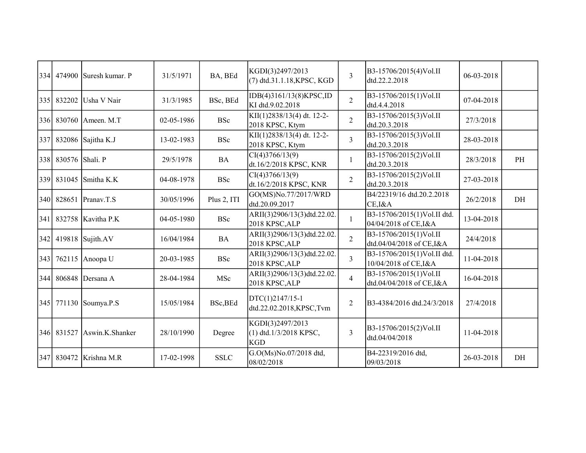| 334 | 474900          | Suresh kumar. P      | 31/5/1971  | BA, BEd     | KGDI(3)2497/2013<br>(7) dtd.31.1.18, KPSC, KGD           | $\overline{3}$ | B3-15706/2015(4)Vol.II<br>dtd.22.2.2018              | 06-03-2018 |    |
|-----|-----------------|----------------------|------------|-------------|----------------------------------------------------------|----------------|------------------------------------------------------|------------|----|
| 335 | 832202          | Usha V Nair          | 31/3/1985  | BSc, BEd    | IDB(4)3161/13(8)KPSC,ID<br>KI dtd.9.02.2018              | $\overline{2}$ | B3-15706/2015(1)Vol.II<br>dtd.4.4.2018               | 07-04-2018 |    |
| 336 |                 | 830760 Ameen. M.T    | 02-05-1986 | <b>BSc</b>  | KII(1)2838/13(4) dt. 12-2-<br>2018 KPSC, Ktym            | $\overline{2}$ | B3-15706/2015(3)Vol.II<br>dtd.20.3.2018              | 27/3/2018  |    |
| 337 |                 | 832086 Sajitha K.J   | 13-02-1983 | <b>BSc</b>  | KII(1)2838/13(4) dt. 12-2-<br>2018 KPSC, Ktym            | $\overline{3}$ | B3-15706/2015(3)Vol.II<br>dtd.20.3.2018              | 28-03-2018 |    |
| 338 | 830576 Shali. P |                      | 29/5/1978  | <b>BA</b>   | CI(4)3766/13(9)<br>dt.16/2/2018 KPSC, KNR                |                | B3-15706/2015(2)Vol.II<br>dtd.20.3.2018              | 28/3/2018  | PH |
| 339 | 831045          | Smitha K.K           | 04-08-1978 | <b>BSc</b>  | CI(4)3766/13(9)<br>dt.16/2/2018 KPSC, KNR                | $\overline{2}$ | B3-15706/2015(2)Vol.II<br>dtd.20.3.2018              | 27-03-2018 |    |
| 340 | 828651          | Pranav.T.S           | 30/05/1996 | Plus 2, ITI | GO(MS)No.77/2017/WRD<br>dtd.20.09.2017                   |                | B4/22319/16 dtd.20.2.2018<br>CE, I&A                 | 26/2/2018  | DH |
| 341 |                 | 832758   Kavitha P.K | 04-05-1980 | <b>BSc</b>  | ARII(3)2906/13(3)dtd.22.02.<br>2018 KPSC, ALP            | 1              | B3-15706/2015(1)Vol.II dtd.<br>04/04/2018 of CE, I&A | 13-04-2018 |    |
| 342 |                 | 419818 Sujith.AV     | 16/04/1984 | <b>BA</b>   | ARII(3)2906/13(3)dtd.22.02.<br>2018 KPSC, ALP            | $\overline{2}$ | B3-15706/2015(1)Vol.II<br>dtd.04/04/2018 of CE,I&A   | 24/4/2018  |    |
| 343 | 762115          | Anoopa U             | 20-03-1985 | <b>BSc</b>  | ARII(3)2906/13(3)dtd.22.02.<br>2018 KPSC, ALP            | $\overline{3}$ | B3-15706/2015(1)Vol.II dtd.<br>10/04/2018 of CE, I&A | 11-04-2018 |    |
| 344 | 806848          | Dersana A            | 28-04-1984 | MSc         | ARII(3)2906/13(3)dtd.22.02.<br>2018 KPSC, ALP            | $\overline{4}$ | B3-15706/2015(1)Vol.II<br>dtd.04/04/2018 of CE,I&A   | 16-04-2018 |    |
|     | 345 771130      | Soumya.P.S           | 15/05/1984 | BSc, BEd    | DTC(1)2147/15-1<br>dtd.22.02.2018,KPSC,Tvm               | 2              | B3-4384/2016 dtd.24/3/2018                           | 27/4/2018  |    |
|     | 346 831527      | Aswin.K.Shanker      | 28/10/1990 | Degree      | KGDI(3)2497/2013<br>(1) dtd.1/3/2018 KPSC,<br><b>KGD</b> | $\overline{3}$ | B3-15706/2015(2)Vol.II<br>dtd.04/04/2018             | 11-04-2018 |    |
| 347 | 830472          | Krishna M.R          | 17-02-1998 | <b>SSLC</b> | G.O(Ms)No.07/2018 dtd,<br>08/02/2018                     |                | B4-22319/2016 dtd,<br>09/03/2018                     | 26-03-2018 | DH |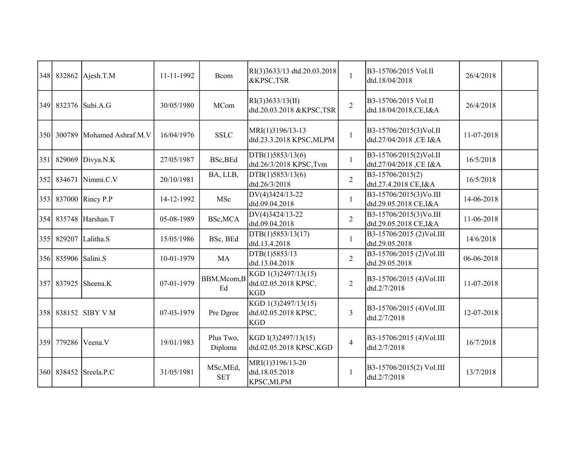|                     | 348 832862 Ajesh.T.M | 11-11-1992 | Bcom                    | RI(3)3633/13 dtd.20.03.2018<br>&KPSC,TSR                  | $\mathbf{1}$   | B3-15706/2015 Vol.II<br>dtd.18/04/2018           | 26/4/2018  |  |
|---------------------|----------------------|------------|-------------------------|-----------------------------------------------------------|----------------|--------------------------------------------------|------------|--|
|                     | 349 832376 Subi.A.G  | 30/05/1980 | MCom                    | RI(3)3633/13(II)<br>dtd.20.03.2018 &KPSC,TSR              | $\overline{2}$ | B3-15706/2015 Vol.II<br>dtd.18/04/2018,CE,I&A    | 26/4/2018  |  |
| 350 300789          | Mohamed Ashraf.M.V   | 16/04/1976 | <b>SSLC</b>             | MRI(1)3196/13-13<br>dtd.23.3.2018 KPSC, MLPM              | $\mathbf{1}$   | B3-15706/2015(3)Vol.II<br>dtd.27/04/2018, CE I&A | 11-07-2018 |  |
| 351 829069          | Divya.N.K            | 27/05/1987 | BSc, BEd                | DTB(1)5853/13(6)<br>dtd.26/3/2018 KPSC,Tvm                | $\mathbf{1}$   | B3-15706/2015(2)Vol.II<br>dtd.27/04/2018, CE I&A | 16/5/2018  |  |
| 352 834671          | Nimmi.C.V            | 20/10/1981 | BA, LLB,                | DTB(1)5853/13(6)<br>dtd.26/3/2018                         | $\overline{2}$ | B3-15706/2015(2)<br>dtd.27.4.2018 CE, I&A        | 16/5/2018  |  |
|                     | 353 837000 Rincy P.P | 14-12-1992 | MSc                     | DV(4)3424/13-22<br>dtd.09.04.2018                         | $\mathbf{1}$   | B3-15706/2015(3)Vo.III<br>dtd.29.05.2018 CE, I&A | 14-06-2018 |  |
|                     | 354 835748 Harshan.T | 05-08-1989 | BSc, MCA                | DV(4)3424/13-22<br>dtd.09.04.2018                         | $\overline{2}$ | B3-15706/2015(3)Vo.III<br>dtd.29.05.2018 CE, I&A | 11-06-2018 |  |
| 355 829207          | Lalitha.S            | 15/05/1986 | BSc, BEd                | DTB(1)5853/13(17)<br>dtd.13.4.2018                        | $\mathbf{1}$   | B3-15706/2015 (2)Vol.III<br>dtd.29.05.2018       | 14/6/2018  |  |
| 356 835906 Salini.S |                      | 10-01-1979 | MA                      | DTB(1)5853/13<br>dtd.13.04.2018                           | $\overline{2}$ | B3-15706/2015 (2)Vol.III<br>dtd.29.05.2018       | 06-06-2018 |  |
| 357 837925          | Sheena.K             | 07-01-1979 | BBM, Mcom, B<br>Ed      | KGD 1(3)2497/13(15)<br>dtd.02.05.2018 KPSC,<br><b>KGD</b> | $\overline{2}$ | B3-15706/2015 (4) Vol.III<br>dtd.2/7/2018        | 11-07-2018 |  |
|                     | 358 838152 SIBY V M  | 07-03-1979 | Pre Dgree               | KGD 1(3)2497/13(15)<br>dtd.02.05.2018 KPSC,<br><b>KGD</b> | 3              | B3-15706/2015 (4)Vol.III<br>dtd.2/7/2018         | 12-07-2018 |  |
| 359 779286          | Veena.V              | 19/01/1983 | Plus Two,<br>Diploma    | KGD I(3)2497/13(15)<br>dtd.02.05.2018 KPSC,KGD            | $\overline{4}$ | B3-15706/2015 (4) Vol.III<br>dtd.2/7/2018        | 16/7/2018  |  |
| 360 838452          | Sreela.P.C           | 31/05/1981 | MSc, MEd,<br><b>SET</b> | MRI(1)3196/13-20<br>dtd.18.05.2018<br>KPSC, MLPM          | $\mathbf{1}$   | B3-15706/2015(2) Vol.III<br>dtd.2/7/2018         | 13/7/2018  |  |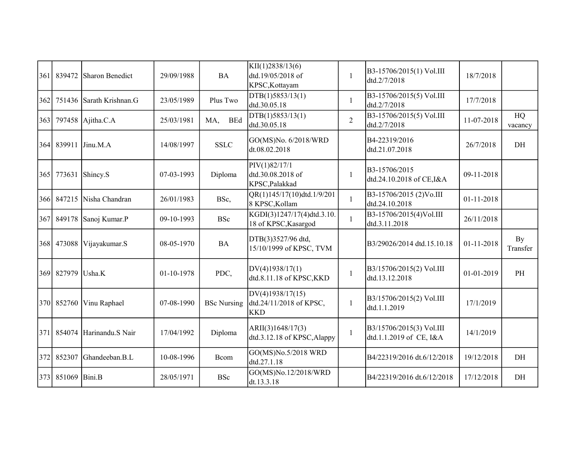| 361 | 839472     | Sharon Benedict   | 29/09/1988 | <b>BA</b>          | KII(1)2838/13(6)<br>dtd.19/05/2018 of<br>KPSC, Kottayam   | 1              | B3-15706/2015(1) Vol.III<br>dtd.2/7/2018            | 18/7/2018        |                |
|-----|------------|-------------------|------------|--------------------|-----------------------------------------------------------|----------------|-----------------------------------------------------|------------------|----------------|
| 362 | 751436     | Sarath Krishnan.G | 23/05/1989 | Plus Two           | DTB(1)5853/13(1)<br>dtd.30.05.18                          | 1              | B3-15706/2015(5) Vol.III<br>dtd.2/7/2018            | 17/7/2018        |                |
| 363 |            | 797458 Ajitha.C.A | 25/03/1981 | <b>BEd</b><br>MA,  | DTB(1)5853/13(1)<br>dtd.30.05.18                          | $\overline{2}$ | B3-15706/2015(5) Vol.III<br>dtd.2/7/2018            | 11-07-2018       | HQ<br>vacancy  |
|     | 364 839911 | Jinu.M.A          | 14/08/1997 | <b>SSLC</b>        | GO(MS)No. 6/2018/WRD<br>dt.08.02.2018                     |                | B4-22319/2016<br>dtd.21.07.2018                     | 26/7/2018        | DH             |
| 365 | 773631     | Shincy.S          | 07-03-1993 | Diploma            | PIV(1)82/17/1<br>dtd.30.08.2018 of<br>KPSC, Palakkad      | 1              | B3-15706/2015<br>dtd.24.10.2018 of CE,I&A           | 09-11-2018       |                |
| 366 | 847215     | Nisha Chandran    | 26/01/1983 | BSc,               | QR(1)145/17(10)dtd.1/9/201<br>8 KPSC, Kollam              | $\mathbf{1}$   | B3-15706/2015 (2)Vo.III<br>dtd.24.10.2018           | 01-11-2018       |                |
| 367 | 849178     | Sanoj Kumar.P     | 09-10-1993 | <b>BSc</b>         | KGDI(3)1247/17(4)dtd.3.10.<br>18 of KPSC, Kasargod        |                | B3-15706/2015(4)Vol.III<br>dtd.3.11.2018            | 26/11/2018       |                |
| 368 | 473088     | Vijayakumar.S     | 08-05-1970 | <b>BA</b>          | DTB(3)3527/96 dtd,<br>15/10/1999 of KPSC, TVM             |                | B3/29026/2014 dtd.15.10.18                          | $01 - 11 - 2018$ | By<br>Transfer |
| 369 | 827979     | Usha.K            | 01-10-1978 | PDC,               | DV(4)1938/17(1)<br>dtd.8.11.18 of KPSC, KKD               | $\mathbf{1}$   | B3/15706/2015(2) Vol.III<br>dtd.13.12.2018          | 01-01-2019       | PH             |
|     | 370 852760 | Vinu Raphael      | 07-08-1990 | <b>BSc Nursing</b> | DV(4)1938/17(15)<br>dtd.24/11/2018 of KPSC,<br><b>KKD</b> | 1              | B3/15706/2015(2) Vol.III<br>dtd.1.1.2019            | 17/1/2019        |                |
| 371 | 854074     | Harinandu.S Nair  | 17/04/1992 | Diploma            | ARII(3)1648/17(3)<br>dtd.3.12.18 of KPSC, Alappy          | $\mathbf{1}$   | B3/15706/2015(3) Vol.III<br>dtd.1.1.2019 of CE, I&A | 14/1/2019        |                |
| 372 | 852307     | Ghandeeban.B.L    | 10-08-1996 | Bcom               | GO(MS)No.5/2018 WRD<br>dtd.27.1.18                        |                | B4/22319/2016 dt.6/12/2018                          | 19/12/2018       | DH             |
|     | 373 851069 | Bini.B            | 28/05/1971 | <b>BSc</b>         | GO(MS)No.12/2018/WRD<br>dt.13.3.18                        |                | B4/22319/2016 dt.6/12/2018                          | 17/12/2018       | DH             |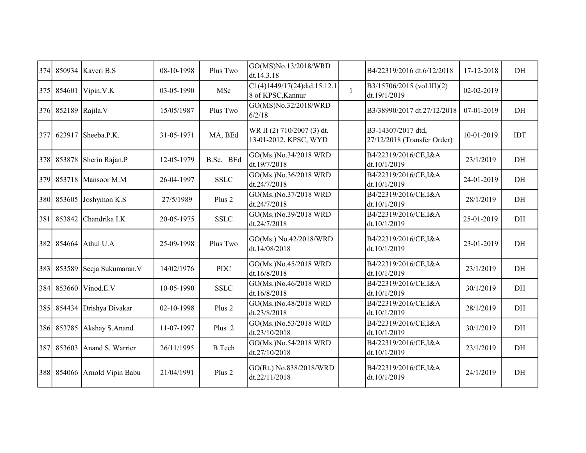| 374 |        | 850934 Kaveri B.S      | 08-10-1998 | Plus Two          | GO(MS)No.13/2018/WRD<br>dt.14.3.18                  |              | B4/22319/2016 dt.6/12/2018                        | 17-12-2018 | DH         |
|-----|--------|------------------------|------------|-------------------|-----------------------------------------------------|--------------|---------------------------------------------------|------------|------------|
| 375 | 854601 | Vipin.V.K              | 03-05-1990 | MSc               | $C1(4)1449/17(24)$ dtd.15.12.1<br>8 of KPSC, Kannur | $\mathbf{1}$ | B3/15706/2015 (vol.III)(2)<br>dt.19/1/2019        | 02-02-2019 |            |
| 376 |        | 852189 Rajila.V        | 15/05/1987 | Plus Two          | GO(MS)No.32/2018/WRD<br>6/2/18                      |              | B3/38990/2017 dt.27/12/2018                       | 07-01-2019 | DH         |
| 377 | 623917 | Sheeba.P.K.            | 31-05-1971 | MA, BEd           | WR II (2) 710/2007 (3) dt.<br>13-01-2012, KPSC, WYD |              | B3-14307/2017 dtd,<br>27/12/2018 (Transfer Order) | 10-01-2019 | <b>IDT</b> |
| 378 | 853878 | Sherin Rajan.P         | 12-05-1979 | B.Sc. BEd         | GO(Ms.)No.34/2018 WRD<br>dt.19/7/2018               |              | B4/22319/2016/CE, I&A<br>dt.10/1/2019             | 23/1/2019  | DH         |
| 379 |        | 853718 Mansoor M.M     | 26-04-1997 | <b>SSLC</b>       | GO(Ms.)No.36/2018 WRD<br>dt.24/7/2018               |              | B4/22319/2016/CE, I&A<br>dt.10/1/2019             | 24-01-2019 | DH         |
| 380 | 853605 | Joshymon K.S           | 27/5/1989  | Plus 2            | GO(Ms.)No.37/2018 WRD<br>dt.24/7/2018               |              | B4/22319/2016/CE, I&A<br>dt.10/1/2019             | 28/1/2019  | DH         |
| 381 | 853842 | Chandrika I.K          | 20-05-1975 | <b>SSLC</b>       | GO(Ms.)No.39/2018 WRD<br>dt.24/7/2018               |              | B4/22319/2016/CE, I&A<br>dt.10/1/2019             | 25-01-2019 | DH         |
| 382 | 854664 | Athul U.A              | 25-09-1998 | Plus Two          | GO(Ms.) No.42/2018/WRD<br>dt.14/08/2018             |              | B4/22319/2016/CE, I&A<br>dt.10/1/2019             | 23-01-2019 | DH         |
| 383 | 853589 | Seeja Sukumaran.V      | 14/02/1976 | <b>PDC</b>        | GO(Ms.)No.45/2018 WRD<br>dt.16/8/2018               |              | B4/22319/2016/CE, I&A<br>dt.10/1/2019             | 23/1/2019  | DH         |
| 384 | 853660 | Vinod.E.V              | 10-05-1990 | <b>SSLC</b>       | GO(Ms.)No.46/2018 WRD<br>dt.16/8/2018               |              | B4/22319/2016/CE, I&A<br>dt.10/1/2019             | 30/1/2019  | DH         |
| 385 |        | 854434 Drishya Divakar | 02-10-1998 | Plus 2            | GO(Ms.)No.48/2018 WRD<br>dt.23/8/2018               |              | B4/22319/2016/CE, I&A<br>dt.10/1/2019             | 28/1/2019  | DH         |
| 386 | 853785 | Akshay S.Anand         | 11-07-1997 | Plus <sub>2</sub> | GO(Ms.)No.53/2018 WRD<br>dt.23/10/2018              |              | B4/22319/2016/CE, I&A<br>dt.10/1/2019             | 30/1/2019  | DH         |
| 387 | 853603 | Anand S. Warrier       | 26/11/1995 | <b>B</b> Tech     | GO(Ms.)No.54/2018 WRD<br>dt.27/10/2018              |              | B4/22319/2016/CE, I&A<br>dt.10/1/2019             | 23/1/2019  | DH         |
| 388 | 854066 | Arnold Vipin Babu      | 21/04/1991 | Plus 2            | GO(Rt.) No.838/2018/WRD<br>dt.22/11/2018            |              | B4/22319/2016/CE, I&A<br>dt.10/1/2019             | 24/1/2019  | DH         |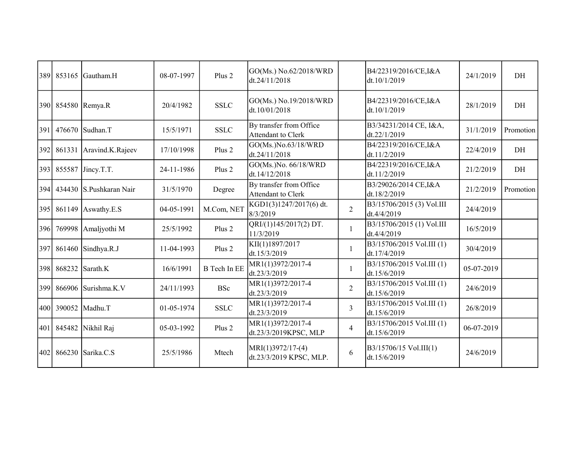| 389  |        | $853165$ Gautham.H      | 08-07-1997 | Plus 2              | GO(Ms.) No.62/2018/WRD<br>dt.24/11/2018              |                | B4/22319/2016/CE, I&A<br>dt.10/1/2019             | 24/1/2019  | DH        |
|------|--------|-------------------------|------------|---------------------|------------------------------------------------------|----------------|---------------------------------------------------|------------|-----------|
|      |        | 390 854580 Remya.R      | 20/4/1982  | <b>SSLC</b>         | GO(Ms.) No.19/2018/WRD<br>dt.10/01/2018              |                | B4/22319/2016/CE, I&A<br>dt.10/1/2019             | 28/1/2019  | DH        |
| 391  | 476670 | Sudhan.T                | 15/5/1971  | <b>SSLC</b>         | By transfer from Office<br><b>Attendant to Clerk</b> |                | B3/34231/2014 CE, I&A,<br>dt.22/1/2019            | 31/1/2019  | Promotion |
| 392  |        | 861331 Aravind.K.Rajeev | 17/10/1998 | Plus 2              | GO(Ms.)No.63/18/WRD<br>dt.24/11/2018                 |                | B4/22319/2016/CE, I&A<br>dt.11/2/2019             | 22/4/2019  | DH        |
| 393  |        | 855587 Jiney.T.T.       | 24-11-1986 | Plus 2              | GO(Ms.)No. 66/18/WRD<br>dt.14/12/2018                |                | B4/22319/2016/CE, I&A<br>dt.11/2/2019             | 21/2/2019  | DH        |
| 394  |        | 434430 S.Pushkaran Nair | 31/5/1970  | Degree              | By transfer from Office<br>Attendant to Clerk        |                | B3/29026/2014 CE, I&A<br>dt.18/2/2019             | 21/2/2019  | Promotion |
| 395  | 861149 | Aswathy.E.S             | 04-05-1991 | M.Com, NET          | KGD1(3)1247/2017(6) dt.<br>8/3/2019                  | $\overline{2}$ | B3/15706/2015 (3) Vol.III<br>dt.4/4/2019          | 24/4/2019  |           |
| 396  | 769998 | Amaljyothi M            | 25/5/1992  | Plus 2              | QRI/(1)145/2017(2) DT.<br>11/3/2019                  | $\mathbf{1}$   | B3/15706/2015 (1) Vol.III<br>dt.4/4/2019          | 16/5/2019  |           |
| 397  |        | 861460 Sindhya.R.J      | 11-04-1993 | Plus 2              | KII(1)1897/2017<br>dt.15/3/2019                      | 1              | B3/15706/2015 Vol.III (1)<br>dt.17/4/2019         | 30/4/2019  |           |
| 398  |        | 868232 Sarath.K         | 16/6/1991  | <b>B</b> Tech In EE | MR1(1)3972/2017-4<br>dt.23/3/2019                    | 1              | B3/15706/2015 Vol.III (1)<br>dt.15/6/2019         | 05-07-2019 |           |
| 399  |        | 866906 Surishma.K.V     | 24/11/1993 | <b>BSc</b>          | MR1(1)3972/2017-4<br>dt.23/3/2019                    | 2              | B3/15706/2015 Vol.III (1)<br>dt.15/6/2019         | 24/6/2019  |           |
| 4001 | 390052 | Madhu.T                 | 01-05-1974 | <b>SSLC</b>         | MR1(1)3972/2017-4<br>dt.23/3/2019                    | 3              | B3/15706/2015 Vol.III (1)<br>dt.15/6/2019         | 26/8/2019  |           |
| 401  | 845482 | Nikhil Raj              | 05-03-1992 | Plus 2              | MR1(1)3972/2017-4<br>dt.23/3/2019KPSC, MLP           | $\overline{4}$ | B3/15706/2015 Vol.III (1)<br>dt.15/6/2019         | 06-07-2019 |           |
| 402  | 866230 | Sarika.C.S              | 25/5/1986  | Mtech               | $MRI(1)3972/17-(4)$<br>dt.23/3/2019 KPSC, MLP.       | 6              | $ B3/15706/15 \text{ Vol.III}(1)$<br>dt.15/6/2019 | 24/6/2019  |           |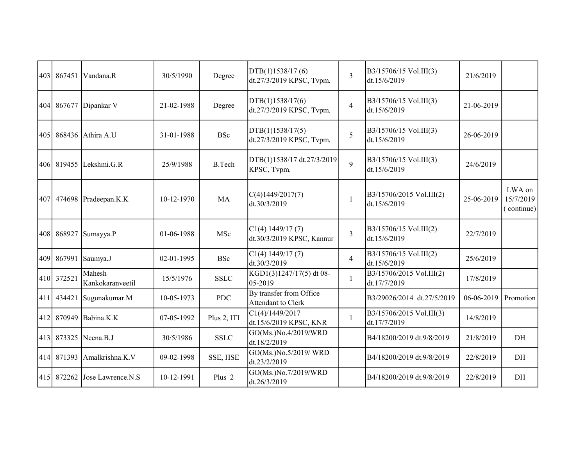| 867451 | Vandana.R                                               | 30/5/1990                                                                                                                                                                                      | Degree            | DTB(1)1538/17(6)<br>dt.27/3/2019 KPSC, Tvpm.   | $\overline{3}$ | B3/15706/15 Vol.III(3)<br>dt.15/6/2019   | 21/6/2019  |                                   |
|--------|---------------------------------------------------------|------------------------------------------------------------------------------------------------------------------------------------------------------------------------------------------------|-------------------|------------------------------------------------|----------------|------------------------------------------|------------|-----------------------------------|
| 867677 |                                                         | 21-02-1988                                                                                                                                                                                     | Degree            | DTB(1)1538/17(6)<br>dt.27/3/2019 KPSC, Tvpm.   | $\overline{4}$ | B3/15706/15 Vol.III(3)<br>dt.15/6/2019   | 21-06-2019 |                                   |
|        |                                                         | 31-01-1988                                                                                                                                                                                     | <b>BSc</b>        | DTB(1)1538/17(5)<br>dt.27/3/2019 KPSC, Tvpm.   | $\overline{5}$ | B3/15706/15 Vol.III(3)<br>dt.15/6/2019   | 26-06-2019 |                                   |
|        |                                                         | 25/9/1988                                                                                                                                                                                      | <b>B.Tech</b>     | DTB(1)1538/17 dt.27/3/2019<br>KPSC, Tvpm.      | 9              | B3/15706/15 Vol.III(3)<br>dt.15/6/2019   | 24/6/2019  |                                   |
|        |                                                         | 10-12-1970                                                                                                                                                                                     | <b>MA</b>         | C(4)1449/2017(7)<br>dt.30/3/2019               | $\mathbf{1}$   | B3/15706/2015 Vol.III(2)<br>dt.15/6/2019 | 25-06-2019 | LWA on<br>15/7/2019<br>(continue) |
| 868927 |                                                         | 01-06-1988                                                                                                                                                                                     | MSc               | CI(4) 1449/17 (7)<br>dt.30/3/2019 KPSC, Kannur | $\overline{3}$ | B3/15706/15 Vol.III(2)<br>dt.15/6/2019   | 22/7/2019  |                                   |
| 867991 |                                                         | 02-01-1995                                                                                                                                                                                     | <b>BSc</b>        | $Cl(4)$ 1449/17 (7)<br>dt.30/3/2019            | $\overline{4}$ | B3/15706/15 Vol.III(2)<br>dt.15/6/2019   | 25/6/2019  |                                   |
|        | Mahesh<br>Kankokaranveetil                              | 15/5/1976                                                                                                                                                                                      | <b>SSLC</b>       | KGD1(3)1247/17(5) dt 08-<br>$ 05 - 2019 $      | 1              | B3/15706/2015 Vol.III(2)<br>dt.17/7/2019 | 17/8/2019  |                                   |
| 434421 |                                                         | 10-05-1973                                                                                                                                                                                     | <b>PDC</b>        | By transfer from Office<br>Attendant to Clerk  |                | B3/29026/2014 dt.27/5/2019               | 06-06-2019 | Promotion                         |
| 870949 |                                                         | 07-05-1992                                                                                                                                                                                     | Plus 2, ITI       | C1(4)/1449/2017<br>dt.15/6/2019 KPSC, KNR      | 1              | B3/15706/2015 Vol.III(3)<br>dt.17/7/2019 | 14/8/2019  |                                   |
|        |                                                         | 30/5/1986                                                                                                                                                                                      | <b>SSLC</b>       | GO(Ms.)No.4/2019/WRD<br>dt.18/2/2019           |                | B4/18200/2019 dt.9/8/2019                | 21/8/2019  | DH                                |
|        |                                                         | 09-02-1998                                                                                                                                                                                     | SSE, HSE          | GO(Ms.)No.5/2019/WRD<br>dt.23/2/2019           |                | B4/18200/2019 dt.9/8/2019                | 22/8/2019  | DH                                |
|        |                                                         | 10-12-1991                                                                                                                                                                                     | Plus <sub>2</sub> | GO(Ms.)No.7/2019/WRD<br>dt.26/3/2019           |                | B4/18200/2019 dt.9/8/2019                | 22/8/2019  | DH                                |
| 405    | 410 372521<br>413 873325<br>871393<br>414<br>415 872262 | Dipankar V<br>868436 Athira A.U<br>406 819455 Lekshmi.G.R<br>474698 Pradeepan.K.K<br>Sumayya.P<br>Saumya.J<br>Sugunakumar.M<br>Babina.K.K<br>Neena.B.J<br>Amalkrishna.K.V<br>Jose Lawrence.N.S |                   |                                                |                |                                          |            |                                   |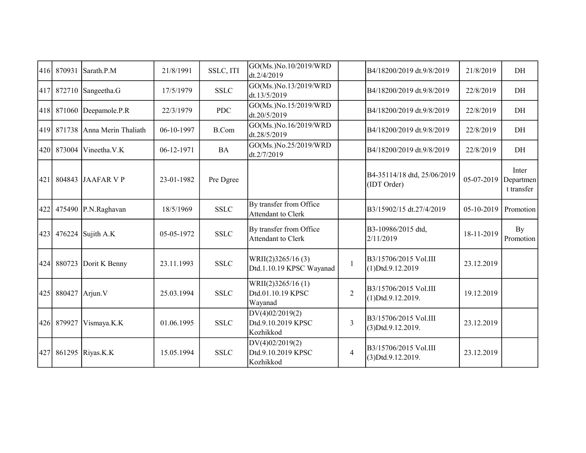| 416 |        | 870931 Sarath.P.M    | 21/8/1991  | SSLC, ITI    | GO(Ms.)No.10/2019/WRD<br>dt.2/4/2019               |                | B4/18200/2019 dt.9/8/2019                     | 21/8/2019  | DH                               |
|-----|--------|----------------------|------------|--------------|----------------------------------------------------|----------------|-----------------------------------------------|------------|----------------------------------|
| 417 |        | $872710$ Sangeetha.G | 17/5/1979  | <b>SSLC</b>  | GO(Ms.)No.13/2019/WRD<br>dt.13/5/2019              |                | B4/18200/2019 dt.9/8/2019                     | 22/8/2019  | DH                               |
| 418 | 871060 | Deepamole.P.R        | 22/3/1979  | <b>PDC</b>   | GO(Ms.)No.15/2019/WRD<br>dt.20/5/2019              |                | B4/18200/2019 dt.9/8/2019                     | 22/8/2019  | DH                               |
| 419 | 871738 | Anna Merin Thaliath  | 06-10-1997 | <b>B.Com</b> | GO(Ms.)No.16/2019/WRD<br>dt.28/5/2019              |                | B4/18200/2019 dt.9/8/2019                     | 22/8/2019  | DH                               |
| 420 | 873004 | Vineetha.V.K         | 06-12-1971 | <b>BA</b>    | GO(Ms.)No.25/2019/WRD<br>dt.2/7/2019               |                | B4/18200/2019 dt.9/8/2019                     | 22/8/2019  | DH                               |
| 421 | 804843 | JAAFAR VP            | 23-01-1982 | Pre Dgree    |                                                    |                | B4-35114/18 dtd, 25/06/2019<br>(IDT Order)    | 05-07-2019 | Inter<br>Departmen<br>t transfer |
| 422 | 475490 | P.N.Raghavan         | 18/5/1969  | <b>SSLC</b>  | By transfer from Office<br>Attendant to Clerk      |                | B3/15902/15 dt.27/4/2019                      | 05-10-2019 | Promotion                        |
| 423 | 476224 | Sujith A.K           | 05-05-1972 | <b>SSLC</b>  | By transfer from Office<br>Attendant to Clerk      |                | B3-10986/2015 dtd,<br>2/11/2019               | 18-11-2019 | By<br>Promotion                  |
| 424 | 880723 | Dorit K Benny        | 23.11.1993 | <b>SSLC</b>  | WRII(2)3265/16 (3)<br>Dtd.1.10.19 KPSC Wayanad     | $\mathbf{1}$   | B3/15706/2015 Vol.III<br>$(1)$ Dtd.9.12.2019  | 23.12.2019 |                                  |
| 425 | 880427 | Arjun.V              | 25.03.1994 | <b>SSLC</b>  | WRII(2)3265/16(1)<br>Dtd.01.10.19 KPSC<br>Wayanad  | $\overline{2}$ | B3/15706/2015 Vol.III<br>$(1)$ Dtd.9.12.2019. | 19.12.2019 |                                  |
| 426 | 879927 | Vismaya.K.K          | 01.06.1995 | <b>SSLC</b>  | DV(4)02/2019(2)<br>Dtd.9.10.2019 KPSC<br>Kozhikkod | 3              | B3/15706/2015 Vol.III<br>$(3)$ Dtd.9.12.2019. | 23.12.2019 |                                  |
| 427 |        | 861295 Riyas.K.K     | 15.05.1994 | <b>SSLC</b>  | DV(4)02/2019(2)<br>Dtd.9.10.2019 KPSC<br>Kozhikkod | $\overline{4}$ | B3/15706/2015 Vol.III<br>$(3)$ Dtd.9.12.2019. | 23.12.2019 |                                  |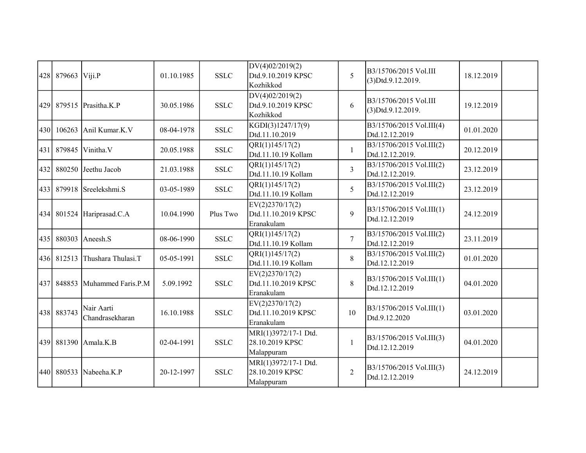| 428 | 879663     | Viji.P                        | 01.10.1985 | <b>SSLC</b> | DV(4)02/2019(2)<br>Dtd.9.10.2019 KPSC<br>Kozhikkod    | 5               | B3/15706/2015 Vol.III<br>(3)Dtd.9.12.2019.  | 18.12.2019 |  |
|-----|------------|-------------------------------|------------|-------------|-------------------------------------------------------|-----------------|---------------------------------------------|------------|--|
|     |            | 429 879515 Prasitha.K.P       | 30.05.1986 | <b>SSLC</b> | DV(4)02/2019(2)<br>Dtd.9.10.2019 KPSC<br>Kozhikkod    | 6               | B3/15706/2015 Vol.III<br>(3)Dtd.9.12.2019.  | 19.12.2019 |  |
| 430 | 106263     | Anil Kumar.K.V                | 08-04-1978 | <b>SSLC</b> | KGDI(3)1247/17(9)<br>Dtd.11.10.2019                   |                 | B3/15706/2015 Vol.III(4)<br>Dtd.12.12.2019  | 01.01.2020 |  |
| 431 | 879845     | Vinitha.V                     | 20.05.1988 | <b>SSLC</b> | QRI(1)145/17(2)<br>Dtd.11.10.19 Kollam                | $\mathbf{1}$    | B3/15706/2015 Vol.III(2)<br>Dtd.12.12.2019. | 20.12.2019 |  |
| 432 | 880250     | Jeethu Jacob                  | 21.03.1988 | <b>SSLC</b> | QRI(1)145/17(2)<br>Dtd.11.10.19 Kollam                | $\overline{3}$  | B3/15706/2015 Vol.III(2)<br>Dtd.12.12.2019. | 23.12.2019 |  |
| 433 |            | 879918 Sreelekshmi.S          | 03-05-1989 | <b>SSLC</b> | QRI(1)145/17(2)<br>Dtd.11.10.19 Kollam                | $5\overline{)}$ | B3/15706/2015 Vol.III(2)<br>Dtd.12.12.2019  | 23.12.2019 |  |
|     |            | 434 801524 Hariprasad.C.A     | 10.04.1990 | Plus Two    | EV(2)2370/17(2)<br>Dtd.11.10.2019 KPSC<br>Eranakulam  | 9               | B3/15706/2015 Vol.III(1)<br>Dtd.12.12.2019  | 24.12.2019 |  |
| 435 | 880303     | Aneesh <sub>.</sub> S         | 08-06-1990 | <b>SSLC</b> | QRI(1)145/17(2)<br>Dtd.11.10.19 Kollam                | $\overline{7}$  | B3/15706/2015 Vol.III(2)<br>Dtd.12.12.2019  | 23.11.2019 |  |
|     | 436 812513 | Thushara Thulasi.T            | 05-05-1991 | <b>SSLC</b> | QRI(1)145/17(2)<br>Dtd.11.10.19 Kollam                | $8\,$           | B3/15706/2015 Vol.III(2)<br>Dtd.12.12.2019  | 01.01.2020 |  |
| 437 | 848853     | Muhammed Faris.P.M            | 5.09.1992  | <b>SSLC</b> | EV(2)2370/17(2)<br>Dtd.11.10.2019 KPSC<br>Eranakulam  | 8               | B3/15706/2015 Vol.III(1)<br>Dtd.12.12.2019  | 04.01.2020 |  |
|     | 438 883743 | Nair Aarti<br>Chandrasekharan | 16.10.1988 | <b>SSLC</b> | EV(2)2370/17(2)<br>Dtd.11.10.2019 KPSC<br>Eranakulam  | 10              | B3/15706/2015 Vol.III(1)<br>Dtd.9.12.2020   | 03.01.2020 |  |
|     | 439 881390 | Amala.K.B                     | 02-04-1991 | <b>SSLC</b> | MRI(1)3972/17-1 Dtd.<br>28.10.2019 KPSC<br>Malappuram | $\mathbf{1}$    | B3/15706/2015 Vol.III(3)<br>Dtd.12.12.2019  | 04.01.2020 |  |
|     | 440 880533 | Nabeeha.K.P                   | 20-12-1997 | <b>SSLC</b> | MRI(1)3972/17-1 Dtd.<br>28.10.2019 KPSC<br>Malappuram | $\overline{2}$  | B3/15706/2015 Vol.III(3)<br>Dtd.12.12.2019  | 24.12.2019 |  |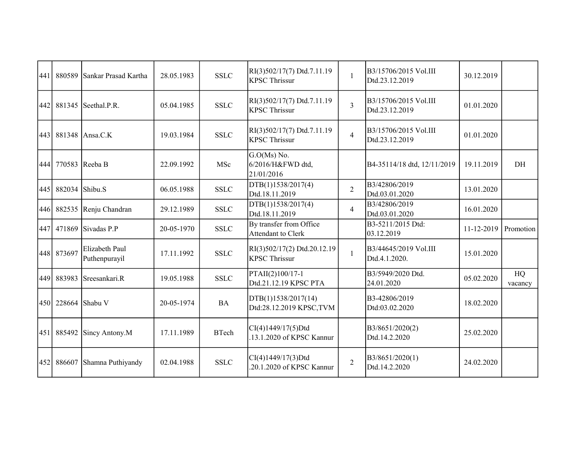| 441 | 880589     | Sankar Prasad Kartha            | 28.05.1983 | <b>SSLC</b>  | RI(3)502/17(7) Dtd.7.11.19<br><b>KPSC Thrissur</b>  | $\mathbf{1}$   | B3/15706/2015 Vol.III<br>Dtd.23.12.2019 | 30.12.2019 |               |
|-----|------------|---------------------------------|------------|--------------|-----------------------------------------------------|----------------|-----------------------------------------|------------|---------------|
| 442 | 881345     | Seethal.P.R.                    | 05.04.1985 | <b>SSLC</b>  | RI(3)502/17(7) Dtd.7.11.19<br><b>KPSC Thrissur</b>  | $\overline{3}$ | B3/15706/2015 Vol.III<br>Dtd.23.12.2019 | 01.01.2020 |               |
| 443 |            | 881348 Ansa.C.K                 | 19.03.1984 | <b>SSLC</b>  | RI(3)502/17(7) Dtd.7.11.19<br><b>KPSC Thrissur</b>  | $\overline{4}$ | B3/15706/2015 Vol.III<br>Dtd.23.12.2019 | 01.01.2020 |               |
| 444 | 770583     | Reeba B                         | 22.09.1992 | MSc          | $G.O(Ms)$ No.<br>6/2016/H&FWD dtd,<br>21/01/2016    |                | B4-35114/18 dtd, 12/11/2019             | 19.11.2019 | DH            |
| 445 | 882034     | Shibu.S                         | 06.05.1988 | <b>SSLC</b>  | DTB(1)1538/2017(4)<br>Dtd.18.11.2019                | $\overline{2}$ | B3/42806/2019<br>Dtd.03.01.2020         | 13.01.2020 |               |
|     | 446 882535 | Renju Chandran                  | 29.12.1989 | <b>SSLC</b>  | DTB(1)1538/2017(4)<br>Dtd.18.11.2019                | $\overline{4}$ | B3/42806/2019<br>Dtd.03.01.2020         | 16.01.2020 |               |
| 447 | 471869     | Sivadas P.P                     | 20-05-1970 | <b>SSLC</b>  | By transfer from Office<br>Attendant to Clerk       |                | B3-5211/2015 Dtd:<br>03.12.2019         | 11-12-2019 | Promotion     |
|     | 448 873697 | Elizabeth Paul<br>Puthenpurayil | 17.11.1992 | <b>SSLC</b>  | RI(3)502/17(2) Dtd.20.12.19<br><b>KPSC Thrissur</b> | $\mathbf{1}$   | B3/44645/2019 Vol.III<br>Dtd.4.1.2020.  | 15.01.2020 |               |
|     | 449 883983 | Sreesankari.R                   | 19.05.1988 | <b>SSLC</b>  | PTAII(2)100/17-1<br>Dtd.21.12.19 KPSC PTA           |                | B3/5949/2020 Dtd.<br>24.01.2020         | 05.02.2020 | HQ<br>vacancy |
|     | 450 228664 | Shabu V                         | 20-05-1974 | <b>BA</b>    | DTB(1)1538/2017(14)<br>Dtd:28.12.2019 KPSC,TVM      |                | B3-42806/2019<br>Dtd:03.02.2020         | 18.02.2020 |               |
|     | 451 885492 | Sincy Antony.M                  | 17.11.1989 | <b>BTech</b> | CI(4)1449/17(5)Dtd<br>.13.1.2020 of KPSC Kannur     |                | B3/8651/2020(2)<br>Dtd.14.2.2020        | 25.02.2020 |               |
| 452 | 886607     | Shamna Puthiyandy               | 02.04.1988 | <b>SSLC</b>  | CI(4)1449/17(3)Dtd<br>.20.1.2020 of KPSC Kannur     | $\overline{2}$ | B3/8651/2020(1)<br>Dtd.14.2.2020        | 24.02.2020 |               |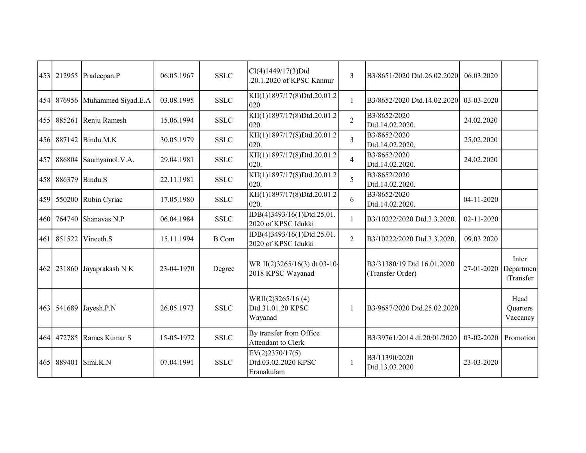| 453 | 212955 | Pradeepan.P        | 06.05.1967 | <b>SSLC</b>  | CI(4)1449/17(3)Dtd<br>.20.1.2020 of KPSC Kannur      | 3              | B3/8651/2020 Dtd.26.02.2020                    | 06.03.2020 |                                 |
|-----|--------|--------------------|------------|--------------|------------------------------------------------------|----------------|------------------------------------------------|------------|---------------------------------|
| 454 | 876956 | Muhammed Siyad.E.A | 03.08.1995 | <b>SSLC</b>  | KII(1)1897/17(8)Dtd.20.01.2<br>020                   | 1              | B3/8652/2020 Dtd.14.02.2020                    | 03-03-2020 |                                 |
| 455 | 885261 | Renju Ramesh       | 15.06.1994 | <b>SSLC</b>  | KII(1)1897/17(8)Dtd.20.01.2<br>020.                  | $\overline{2}$ | B3/8652/2020<br>Dtd.14.02.2020.                | 24.02.2020 |                                 |
| 456 | 887142 | Bindu.M.K          | 30.05.1979 | <b>SSLC</b>  | KII(1)1897/17(8)Dtd.20.01.2<br>020.                  | $\overline{3}$ | B3/8652/2020<br>Dtd.14.02.2020.                | 25.02.2020 |                                 |
| 457 | 886804 | Saumyamol.V.A.     | 29.04.1981 | <b>SSLC</b>  | KII(1)1897/17(8)Dtd.20.01.2<br>020.                  | $\overline{4}$ | B3/8652/2020<br>Dtd.14.02.2020.                | 24.02.2020 |                                 |
| 458 | 886379 | Bindu.S            | 22.11.1981 | <b>SSLC</b>  | KII(1)1897/17(8)Dtd.20.01.2<br>020.                  | 5              | B3/8652/2020<br>Dtd.14.02.2020.                |            |                                 |
| 459 | 550200 | Rubin Cyriac       | 17.05.1980 | <b>SSLC</b>  | KII(1)1897/17(8)Dtd.20.01.2<br>020.                  | 6              | B3/8652/2020<br>Dtd.14.02.2020.                | 04-11-2020 |                                 |
| 460 | 764740 | Shanavas.N.P       | 06.04.1984 | <b>SSLC</b>  | IDB(4)3493/16(1)Dtd.25.01.<br>2020 of KPSC Idukki    | $\mathbf{1}$   | B3/10222/2020 Dtd.3.3.2020.                    | 02-11-2020 |                                 |
| 461 | 851522 | Vineeth.S          | 15.11.1994 | <b>B</b> Com | IDB(4)3493/16(1)Dtd.25.01.<br>2020 of KPSC Idukki    | $\overline{2}$ | B3/10222/2020 Dtd.3.3.2020.                    | 09.03.2020 |                                 |
| 462 | 231860 | Jayaprakash N K    | 23-04-1970 | Degree       | WR II(2)3265/16(3) dt 03-10-<br>2018 KPSC Wayanad    |                | B3/31380/19 Dtd 16.01.2020<br>(Transfer Order) | 27-01-2020 | Inter<br>Departmen<br>tTransfer |
| 463 | 541689 | Jayesh.P.N         | 26.05.1973 | <b>SSLC</b>  | WRII(2)3265/16(4)<br>Dtd.31.01.20 KPSC<br>Wayanad    |                | B3/9687/2020 Dtd.25.02.2020                    |            | Head<br>Quarters<br>Vaccancy    |
| 464 | 472785 | Rames Kumar S      | 15-05-1972 | <b>SSLC</b>  | By transfer from Office<br>Attendant to Clerk        |                | B3/39761/2014 dt.20/01/2020                    | 03-02-2020 | Promotion                       |
| 465 | 889401 | Simi.K.N           | 07.04.1991 | <b>SSLC</b>  | EV(2)2370/17(5)<br>Dtd.03.02.2020 KPSC<br>Eranakulam | $\mathbf{1}$   | B3/11390/2020<br>Dtd.13.03.2020                | 23-03-2020 |                                 |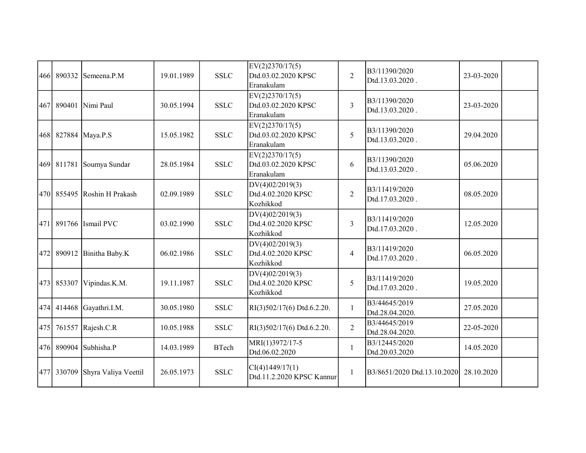|     | 466 890332 | Semeena.P.M           | 19.01.1989 | <b>SSLC</b>  | EV(2)2370/17(5)<br>Dtd.03.02.2020 KPSC<br>Eranakulam | $\overline{2}$ | B3/11390/2020<br>Dtd.13.03.2020. | 23-03-2020 |  |
|-----|------------|-----------------------|------------|--------------|------------------------------------------------------|----------------|----------------------------------|------------|--|
|     | 467 890401 | Nimi Paul             | 30.05.1994 | <b>SSLC</b>  | EV(2)2370/17(5)<br>Dtd.03.02.2020 KPSC<br>Eranakulam | $\overline{3}$ | B3/11390/2020<br>Dtd.13.03.2020. | 23-03-2020 |  |
|     |            | 468 827884 Maya.P.S   | 15.05.1982 | <b>SSLC</b>  | EV(2)2370/17(5)<br>Dtd.03.02.2020 KPSC<br>Eranakulam | 5              | B3/11390/2020<br>Dtd.13.03.2020. | 29.04.2020 |  |
|     | 469 811781 | Soumya Sundar         | 28.05.1984 | <b>SSLC</b>  | EV(2)2370/17(5)<br>Dtd.03.02.2020 KPSC<br>Eranakulam | 6              | B3/11390/2020<br>Dtd.13.03.2020. | 05.06.2020 |  |
|     | 470 855495 | Roshin H Prakash      | 02.09.1989 | <b>SSLC</b>  | DV(4)02/2019(3)<br>Dtd.4.02.2020 KPSC<br>Kozhikkod   | $\overline{2}$ | B3/11419/2020<br>Dtd.17.03.2020. | 08.05.2020 |  |
|     |            | 471 891766 Ismail PVC | 03.02.1990 | <b>SSLC</b>  | DV(4)02/2019(3)<br>Dtd.4.02.2020 KPSC<br>Kozhikkod   | 3              | B3/11419/2020<br>Dtd.17.03.2020. | 12.05.2020 |  |
|     | 472 890912 | Binitha Baby.K        | 06.02.1986 | <b>SSLC</b>  | DV(4)02/2019(3)<br>Dtd.4.02.2020 KPSC<br>Kozhikkod   | $\overline{4}$ | B3/11419/2020<br>Dtd.17.03.2020. | 06.05.2020 |  |
|     | 473 853307 | Vipindas.K.M.         | 19.11.1987 | <b>SSLC</b>  | DV(4)02/2019(3)<br>Dtd.4.02.2020 KPSC<br>Kozhikkod   | 5              | B3/11419/2020<br>Dtd.17.03.2020. | 19.05.2020 |  |
|     | 474 414468 | Gayathri.I.M.         | 30.05.1980 | <b>SSLC</b>  | RI(3)502/17(6) Dtd.6.2.20.                           | $\mathbf{1}$   | B3/44645/2019<br>Dtd.28.04.2020. | 27.05.2020 |  |
| 475 |            | 761557 Rajesh.C.R     | 10.05.1988 | <b>SSLC</b>  | RI(3)502/17(6) Dtd.6.2.20.                           | $\overline{2}$ | B3/44645/2019<br>Dtd.28.04.2020. | 22-05-2020 |  |
|     | 476 890904 | Subhisha.P            | 14.03.1989 | <b>BTech</b> | MRI(1)3972/17-5<br>Dtd.06.02.2020                    | $\mathbf{1}$   | B3/12445/2020<br>Dtd.20.03.2020  | 14.05.2020 |  |
|     | 477 330709 | Shyra Valiya Veettil  | 26.05.1973 | <b>SSLC</b>  | CI(4)1449/17(1)<br>Dtd.11.2.2020 KPSC Kannur         | $\mathbf{1}$   | B3/8651/2020 Dtd.13.10.2020      | 28.10.2020 |  |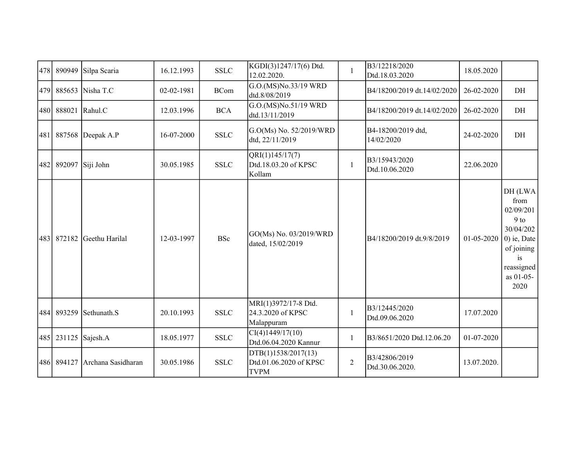| 478 | 890949     | Silpa Scaria          | 16.12.1993 | <b>SSLC</b> | KGDI(3)1247/17(6) Dtd.<br>12.02.2020.                        | $\mathbf{1}$   | B3/12218/2020<br>Dtd.18.03.2020  | 18.05.2020  |                                                                                                                              |
|-----|------------|-----------------------|------------|-------------|--------------------------------------------------------------|----------------|----------------------------------|-------------|------------------------------------------------------------------------------------------------------------------------------|
| 479 | 885653     | Nisha T.C             | 02-02-1981 | <b>BCom</b> | G.O.(MS)No.33/19 WRD<br>dtd.8/08/2019                        |                | B4/18200/2019 dt.14/02/2020      | 26-02-2020  | DH                                                                                                                           |
|     | 480 888021 | Rahul.C               | 12.03.1996 | <b>BCA</b>  | G.O.(MS)No.51/19 WRD<br>dtd.13/11/2019                       |                | B4/18200/2019 dt.14/02/2020      | 26-02-2020  | DH                                                                                                                           |
|     |            | 481 887568 Deepak A.P | 16-07-2000 | <b>SSLC</b> | G.O(Ms) No. 52/2019/WRD<br>dtd, 22/11/2019                   |                | B4-18200/2019 dtd,<br>14/02/2020 | 24-02-2020  | DH                                                                                                                           |
| 482 | 892097     | Siji John             | 30.05.1985 | <b>SSLC</b> | QRI(1)145/17(7)<br>Dtd.18.03.20 of KPSC<br>Kollam            | $\mathbf{1}$   | B3/15943/2020<br>Dtd.10.06.2020  | 22.06.2020  |                                                                                                                              |
| 483 | 872182     | Geethu Harilal        | 12-03-1997 | <b>BSc</b>  | GO(Ms) No. 03/2019/WRD<br>dated, 15/02/2019                  |                | B4/18200/2019 dt.9/8/2019        | 01-05-2020  | DH(LWA)<br>from<br>02/09/201<br>$9$ to<br>30/04/202<br>$0$ ) ie, Date<br>of joining<br>is<br>reassigned<br>as 01-05-<br>2020 |
|     | 484 893259 | Sethunath.S           | 20.10.1993 | <b>SSLC</b> | MRI(1)3972/17-8 Dtd.<br>24.3.2020 of KPSC<br>Malappuram      | $\mathbf{1}$   | B3/12445/2020<br>Dtd.09.06.2020  | 17.07.2020  |                                                                                                                              |
|     |            | 485 231125 Sajesh.A   | 18.05.1977 | <b>SSLC</b> | CI(4)1449/17(10)<br>Dtd.06.04.2020 Kannur                    | $\mathbf{1}$   | B3/8651/2020 Dtd.12.06.20        | 01-07-2020  |                                                                                                                              |
|     | 486 894127 | Archana Sasidharan    | 30.05.1986 | <b>SSLC</b> | DTB(1)1538/2017(13)<br>Dtd.01.06.2020 of KPSC<br><b>TVPM</b> | $\overline{2}$ | B3/42806/2019<br>Dtd.30.06.2020. | 13.07.2020. |                                                                                                                              |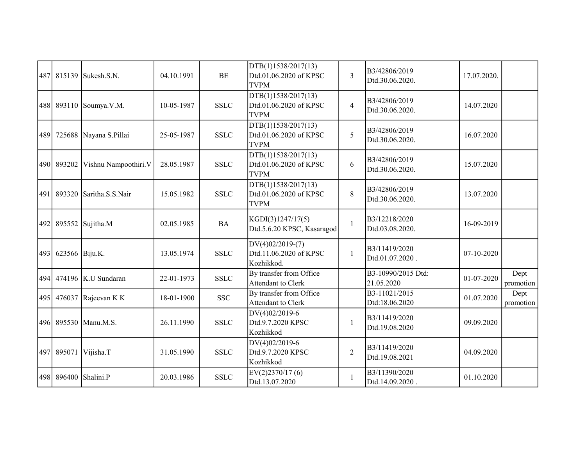| 487 | 815139         | Sukesh.S.N.            | 04.10.1991 | BE          | DTB(1)1538/2017(13)<br>Dtd.01.06.2020 of KPSC<br><b>TVPM</b> | $\overline{3}$ | B3/42806/2019<br>Dtd.30.06.2020. | 17.07.2020. |                   |
|-----|----------------|------------------------|------------|-------------|--------------------------------------------------------------|----------------|----------------------------------|-------------|-------------------|
| 488 | 893110         | Soumya.V.M.            | 10-05-1987 | <b>SSLC</b> | DTB(1)1538/2017(13)<br>Dtd.01.06.2020 of KPSC<br><b>TVPM</b> | $\overline{4}$ | B3/42806/2019<br>Dtd.30.06.2020. | 14.07.2020  |                   |
| 489 |                | 725688 Nayana S.Pillai | 25-05-1987 | <b>SSLC</b> | DTB(1)1538/2017(13)<br>Dtd.01.06.2020 of KPSC<br><b>TVPM</b> | 5              | B3/42806/2019<br>Dtd.30.06.2020. | 16.07.2020  |                   |
|     | 490 893202     | Vishnu Nampoothiri.V   | 28.05.1987 | <b>SSLC</b> | DTB(1)1538/2017(13)<br>Dtd.01.06.2020 of KPSC<br><b>TVPM</b> | 6              | B3/42806/2019<br>Dtd.30.06.2020. | 15.07.2020  |                   |
| 491 | 893320         | Saritha.S.S.Nair       | 15.05.1982 | <b>SSLC</b> | DTB(1)1538/2017(13)<br>Dtd.01.06.2020 of KPSC<br><b>TVPM</b> | 8              | B3/42806/2019<br>Dtd.30.06.2020. | 13.07.2020  |                   |
|     |                | 492 895552 Sujitha.M   | 02.05.1985 | <b>BA</b>   | KGDI(3)1247/17(5)<br>Dtd.5.6.20 KPSC, Kasaragod              | $\mathbf{1}$   | B3/12218/2020<br>Dtd.03.08.2020. | 16-09-2019  |                   |
| 493 | 623566 Biju.K. |                        | 13.05.1974 | <b>SSLC</b> | $DV(4)02/2019-(7)$<br>Dtd.11.06.2020 of KPSC<br>Kozhikkod.   | $\mathbf{1}$   | B3/11419/2020<br>Dtd.01.07.2020. | 07-10-2020  |                   |
| 494 |                | 474196 K.U Sundaran    | 22-01-1973 | <b>SSLC</b> | By transfer from Office<br>Attendant to Clerk                |                | B3-10990/2015 Dtd:<br>21.05.2020 | 01-07-2020  | Dept<br>promotion |
|     | 495 476037     | Rajeevan K K           | 18-01-1900 | <b>SSC</b>  | By transfer from Office<br>Attendant to Clerk                |                | B3-11021/2015<br>Dtd:18.06.2020  | 01.07.2020  | Dept<br>promotion |
|     |                | 496 895530 Manu.M.S.   | 26.11.1990 | <b>SSLC</b> | DV(4)02/2019-6<br>Dtd.9.7.2020 KPSC<br>Kozhikkod             | 1              | B3/11419/2020<br>Dtd.19.08.2020  | 09.09.2020  |                   |
| 497 | 895071         | Vijisha.T              | 31.05.1990 | <b>SSLC</b> | DV(4)02/2019-6<br>Dtd.9.7.2020 KPSC<br>Kozhikkod             | $\overline{2}$ | B3/11419/2020<br>Dtd.19.08.2021  | 04.09.2020  |                   |
| 498 | 896400         | Shalini.P              | 20.03.1986 | <b>SSLC</b> | EV(2)2370/17(6)<br>Dtd.13.07.2020                            |                | B3/11390/2020<br>Dtd.14.09.2020. | 01.10.2020  |                   |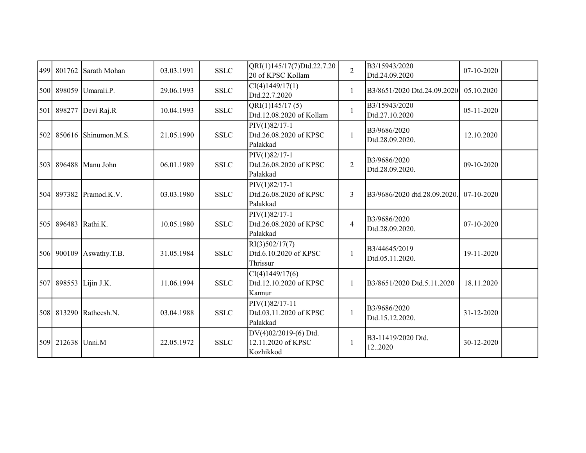| 499 | 801762              | Sarath Mohan           | 03.03.1991 | <b>SSLC</b> | QRI(1)145/17(7)Dtd.22.7.20<br>20 of KPSC Kollam          | $\overline{2}$ | B3/15943/2020<br>Dtd.24.09.2020  | 07-10-2020 |  |
|-----|---------------------|------------------------|------------|-------------|----------------------------------------------------------|----------------|----------------------------------|------------|--|
|     |                     | 500 898059 Umarali.P.  | 29.06.1993 | <b>SSLC</b> | CI(4)1449/17(1)<br>Dtd.22.7.2020                         | $\mathbf{1}$   | B3/8651/2020 Dtd.24.09.2020      | 05.10.2020 |  |
| 501 | 898277              | Devi Raj.R             | 10.04.1993 | <b>SSLC</b> | QRI(1)145/17(5)<br>Dtd.12.08.2020 of Kollam              | $\mathbf{1}$   | B3/15943/2020<br>Dtd.27.10.2020  | 05-11-2020 |  |
| 502 |                     | $850616$ Shinumon.M.S. | 21.05.1990 | <b>SSLC</b> | $PIV(1)82/17-1$<br>Dtd.26.08.2020 of KPSC<br>Palakkad    | $\mathbf{1}$   | B3/9686/2020<br>Dtd.28.09.2020.  | 12.10.2020 |  |
| 503 |                     | 896488 Manu John       | 06.01.1989 | <b>SSLC</b> | PIV(1)82/17-1<br>Dtd.26.08.2020 of KPSC<br>Palakkad      | $\overline{2}$ | B3/9686/2020<br>Dtd.28.09.2020.  | 09-10-2020 |  |
|     |                     | 504 897382 Pramod.K.V. | 03.03.1980 | <b>SSLC</b> | PIV(1)82/17-1<br>Dtd.26.08.2020 of KPSC<br>Palakkad      | 3              | B3/9686/2020 dtd.28.09.2020.     | 07-10-2020 |  |
|     | 505 896483 Rathi.K. |                        | 10.05.1980 | <b>SSLC</b> | PIV(1)82/17-1<br>Dtd.26.08.2020 of KPSC<br>Palakkad      | $\overline{4}$ | B3/9686/2020<br>Dtd.28.09.2020.  | 07-10-2020 |  |
|     | 506 900109          | Aswathy.T.B.           | 31.05.1984 | <b>SSLC</b> | RI(3)502/17(7)<br>Dtd.6.10.2020 of KPSC<br>Thrissur      | $\mathbf{1}$   | B3/44645/2019<br>Dtd.05.11.2020. | 19-11-2020 |  |
| 507 | 898553              | Lijin J.K.             | 11.06.1994 | <b>SSLC</b> | CI(4)1449/17(6)<br>Dtd.12.10.2020 of KPSC<br>Kannur      | $\mathbf{1}$   | B3/8651/2020 Dtd.5.11.2020       | 18.11.2020 |  |
|     |                     | 508 813290 Ratheesh.N. | 03.04.1988 | <b>SSLC</b> | $PIV(1)82/17-11$<br>Dtd.03.11.2020 of KPSC<br>Palakkad   | 1              | B3/9686/2020<br>Dtd.15.12.2020.  | 31-12-2020 |  |
|     | 509 212638 Unni.M   |                        | 22.05.1972 | <b>SSLC</b> | DV(4)02/2019-(6) Dtd.<br>12.11.2020 of KPSC<br>Kozhikkod | $\mathbf{1}$   | B3-11419/2020 Dtd.<br>122020     | 30-12-2020 |  |